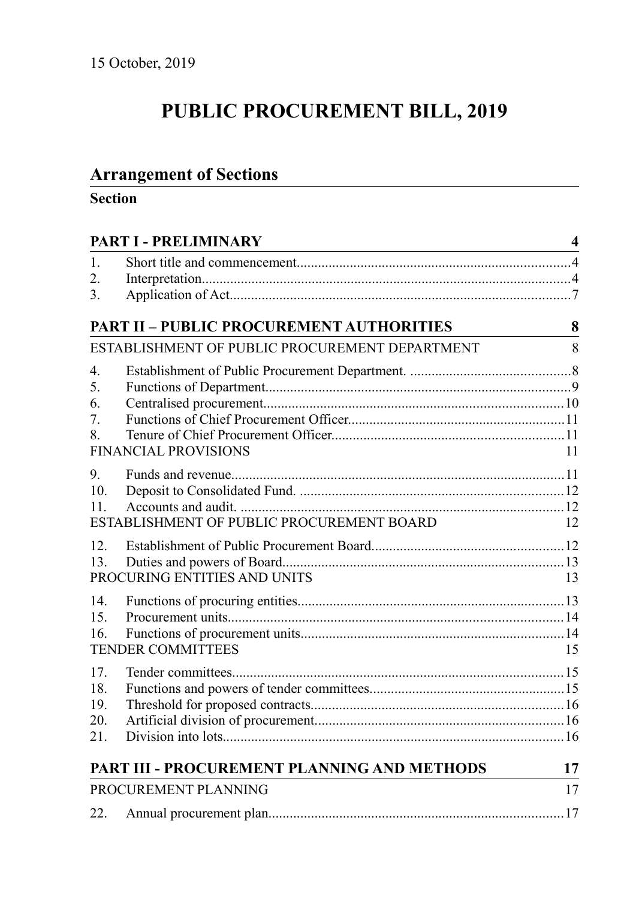# **PUBLIC PROCUREMENT BILL, 2019**

## **Arrangement of Sections**

## **Section**

| PART I - PRELIMINARY |                                                 |    |  |
|----------------------|-------------------------------------------------|----|--|
| 1.                   |                                                 |    |  |
| 2.                   |                                                 |    |  |
| 3.                   |                                                 |    |  |
|                      | <b>PART II - PUBLIC PROCUREMENT AUTHORITIES</b> | 8  |  |
|                      | ESTABLISHMENT OF PUBLIC PROCUREMENT DEPARTMENT  | 8  |  |
| 4.                   |                                                 |    |  |
| 5.                   |                                                 |    |  |
| 6.                   |                                                 |    |  |
| 7.                   |                                                 |    |  |
| 8.                   |                                                 |    |  |
|                      | <b>FINANCIAL PROVISIONS</b>                     | 11 |  |
| 9.                   |                                                 |    |  |
| 10.                  |                                                 |    |  |
| 11.                  |                                                 |    |  |
|                      | ESTABLISHMENT OF PUBLIC PROCUREMENT BOARD       | 12 |  |
| 12.                  |                                                 |    |  |
| 13.                  |                                                 |    |  |
|                      | PROCURING ENTITIES AND UNITS                    | 13 |  |
| 14.                  |                                                 |    |  |
| 15.                  |                                                 |    |  |
| 16.                  |                                                 |    |  |
|                      | <b>TENDER COMMITTEES</b>                        | 15 |  |
| 17.                  |                                                 |    |  |
| 18.                  |                                                 |    |  |
| 19.                  |                                                 |    |  |
| 20.                  |                                                 |    |  |
| 21.                  |                                                 |    |  |
|                      | PART III - PROCUREMENT PLANNING AND METHODS     | 17 |  |
|                      | PROCUREMENT PLANNING                            | 17 |  |
| 22.                  |                                                 |    |  |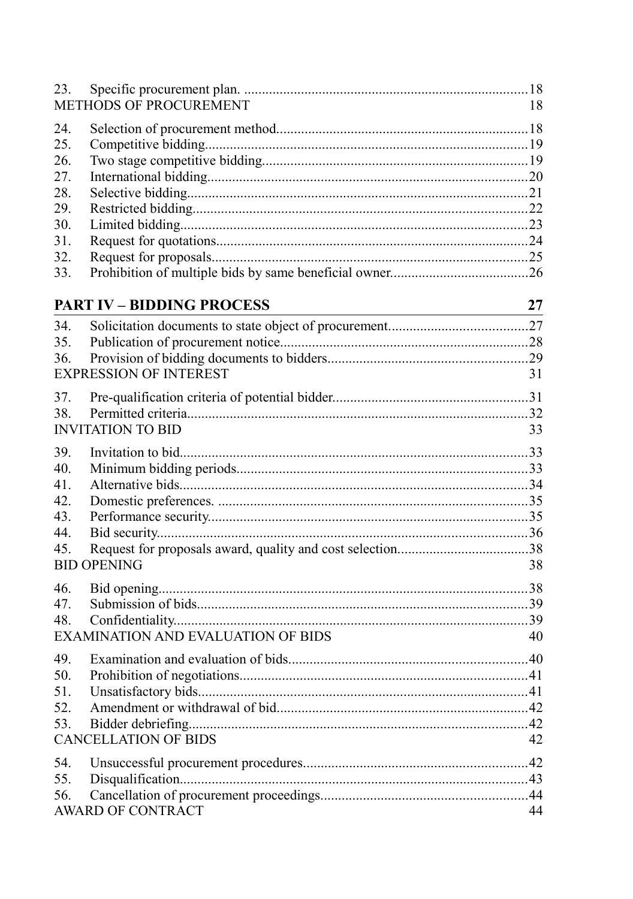| 23.                                                                | METHODS OF PROCUREMENT                    | 18 |
|--------------------------------------------------------------------|-------------------------------------------|----|
| 24.<br>25.<br>26.<br>27.<br>28.<br>29.<br>30.<br>31.<br>32.<br>33. |                                           |    |
|                                                                    | <b>PART IV - BIDDING PROCESS</b>          | 27 |
| 34.<br>35.<br>36.                                                  | <b>EXPRESSION OF INTEREST</b>             | 31 |
| 37.<br>38.                                                         |                                           |    |
|                                                                    | <b>INVITATION TO BID</b>                  | 33 |
| 39.<br>40.<br>41.<br>42.<br>43.<br>44.<br>45.                      | <b>BID OPENING</b>                        | 38 |
| 46.<br>47.<br>48.                                                  | <b>EXAMINATION AND EVALUATION OF BIDS</b> | 40 |
| 49.<br>50.<br>51.<br>52.<br>53.                                    | <b>CANCELLATION OF BIDS</b>               | 42 |
| 54.<br>55.<br>56.                                                  | AWARD OF CONTRACT                         | 44 |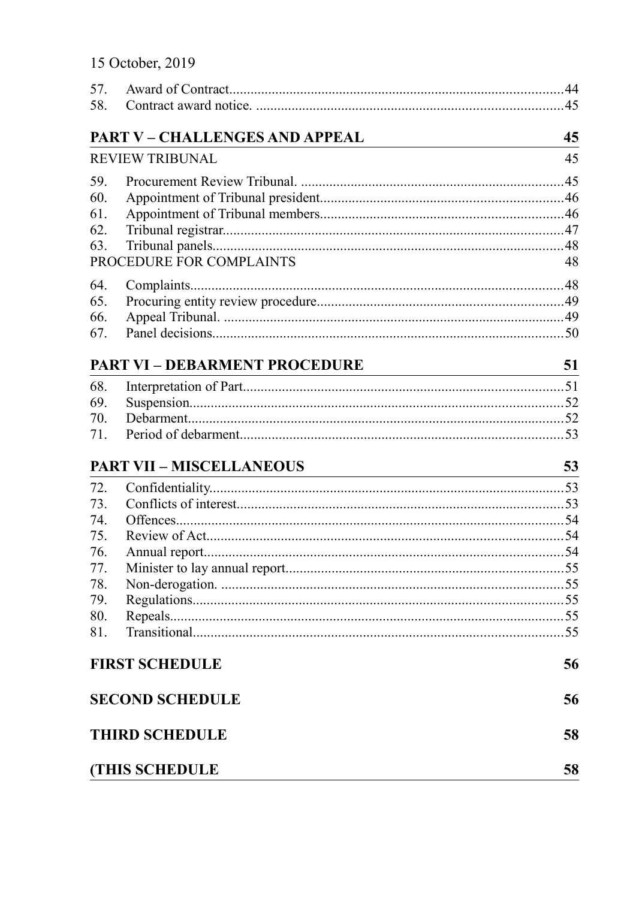|  | 15 October, 2019 |  |  |  |
|--|------------------|--|--|--|
|--|------------------|--|--|--|

| 57. |                                       |                                                                                                                            |
|-----|---------------------------------------|----------------------------------------------------------------------------------------------------------------------------|
| 58. |                                       |                                                                                                                            |
|     | <b>PART V - CHALLENGES AND APPEAL</b> | 45                                                                                                                         |
|     | <b>REVIEW TRIBUNAL</b>                | 45                                                                                                                         |
| 59. |                                       |                                                                                                                            |
| 60. |                                       |                                                                                                                            |
| 61. |                                       |                                                                                                                            |
| 62. |                                       |                                                                                                                            |
| 63. |                                       |                                                                                                                            |
|     | PROCEDURE FOR COMPLAINTS              | 48                                                                                                                         |
| 64. |                                       |                                                                                                                            |
| 65. |                                       |                                                                                                                            |
| 66. |                                       |                                                                                                                            |
| 67. |                                       |                                                                                                                            |
|     | <b>PART VI - DEBARMENT PROCEDURE</b>  | 51<br><u> 1980 - Johann Barn, mars ar breithinn ar breithinn ar breithinn ar breithinn ar breithinn ar breithinn ar br</u> |
| 68. |                                       |                                                                                                                            |
| 69. |                                       |                                                                                                                            |
| 70. |                                       |                                                                                                                            |
| 71. |                                       |                                                                                                                            |
|     | <b>PART VII - MISCELLANEOUS</b>       | 53                                                                                                                         |
| 72. |                                       |                                                                                                                            |
| 73. |                                       |                                                                                                                            |
| 74. |                                       |                                                                                                                            |
| 75. |                                       |                                                                                                                            |
| 76. |                                       |                                                                                                                            |
| 77. |                                       |                                                                                                                            |
| 78. |                                       |                                                                                                                            |
| 79. |                                       |                                                                                                                            |
| 80. |                                       |                                                                                                                            |
| 81. |                                       |                                                                                                                            |
|     |                                       |                                                                                                                            |
|     | <b>FIRST SCHEDULE</b>                 | 56                                                                                                                         |
|     | <b>SECOND SCHEDULE</b>                | 56                                                                                                                         |
|     | <b>THIRD SCHEDULE</b>                 | 58                                                                                                                         |
|     | <b>(THIS SCHEDULE</b>                 | 58                                                                                                                         |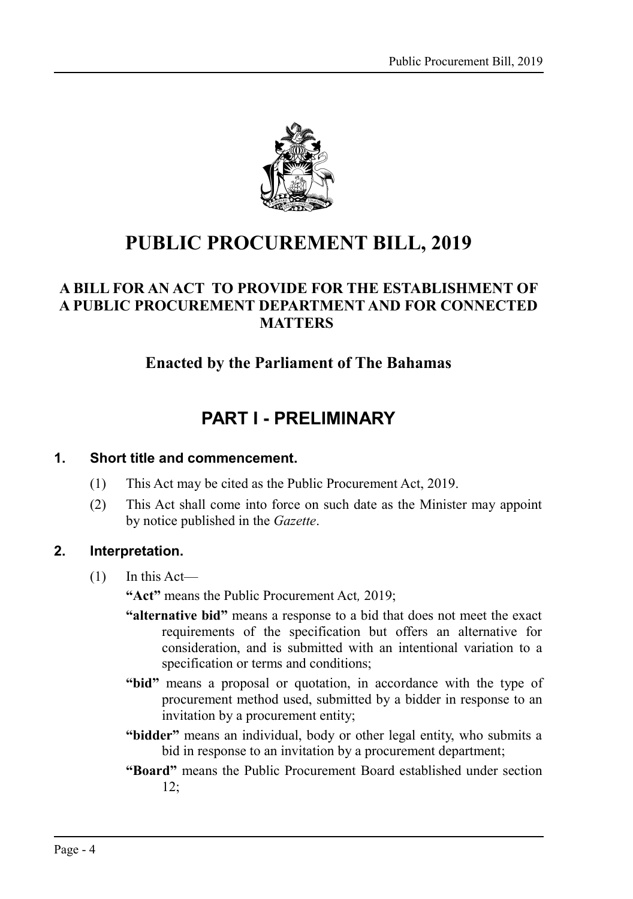

## **PUBLIC PROCUREMENT BILL, 2019**

## **A BILL FOR AN ACT TO PROVIDE FOR THE ESTABLISHMENT OF A PUBLIC PROCUREMENT DEPARTMENT AND FOR CONNECTED MATTERS**

## **Enacted by the Parliament of The Bahamas**

## <span id="page-3-0"></span>**PART I - PRELIMINARY**

#### **1. Short title and commencement.**

- <span id="page-3-2"></span>(1) This Act may be cited as the Public Procurement Act, 2019.
- (2) This Act shall come into force on such date as the Minister may appoint by notice published in the *Gazette*.

## **2. Interpretation.**

<span id="page-3-1"></span> $(1)$  In this Act—

**"Act"** means the Public Procurement Act*,* 2019;

- **"alternative bid"** means a response to a bid that does not meet the exact requirements of the specification but offers an alternative for consideration, and is submitted with an intentional variation to a specification or terms and conditions;
- **"bid"** means a proposal or quotation, in accordance with the type of procurement method used, submitted by a bidder in response to an invitation by a procurement entity;
- **"bidder"** means an individual, body or other legal entity, who submits a bid in response to an invitation by a procurement department;
- **"Board"** means the Public Procurement Board established under section [12;](#page-11-0)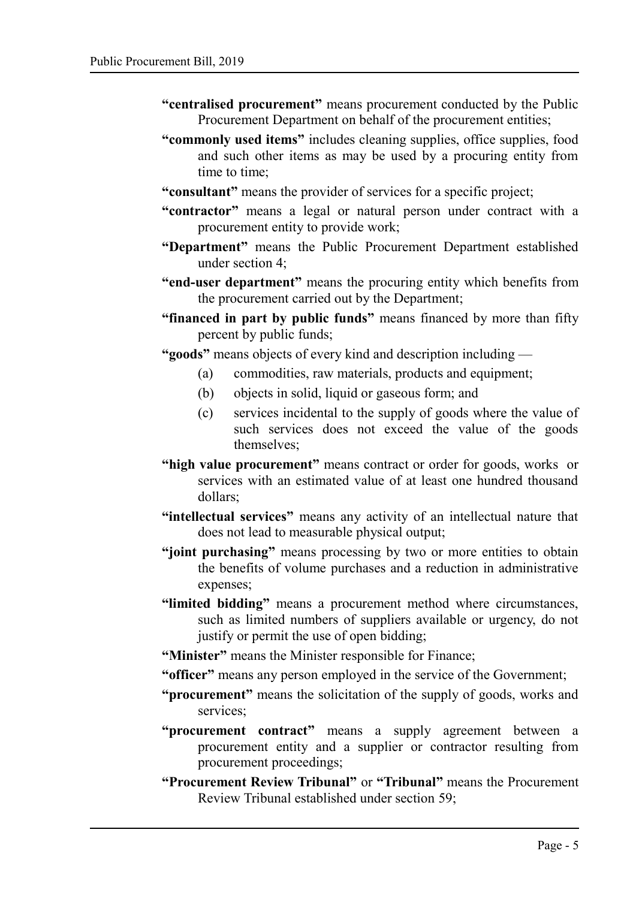- **"centralised procurement"** means procurement conducted by the Public Procurement Department on behalf of the procurement entities;
- **"commonly used items"** includes cleaning supplies, office supplies, food and such other items as may be used by a procuring entity from time to time;
- **"consultant"** means the provider of services for a specific project;
- **"contractor"** means a legal or natural person under contract with a procurement entity to provide work;
- **"Department"** means the Public Procurement Department established under section [4;](#page-7-0)
- **"end-user department"** means the procuring entity which benefits from the procurement carried out by the Department;
- **"financed in part by public funds"** means financed by more than fifty percent by public funds;
- **"goods"** means objects of every kind and description including
	- (a) commodities, raw materials, products and equipment;
	- (b) objects in solid, liquid or gaseous form; and
	- (c) services incidental to the supply of goods where the value of such services does not exceed the value of the goods themselves;
- **"high value procurement"** means contract or order for goods, works or services with an estimated value of at least one hundred thousand dollars;
- **"intellectual services"** means any activity of an intellectual nature that does not lead to measurable physical output;
- "joint purchasing" means processing by two or more entities to obtain the benefits of volume purchases and a reduction in administrative expenses;
- **"limited bidding"** means a procurement method where circumstances, such as limited numbers of suppliers available or urgency, do not justify or permit the use of open bidding;
- **"Minister"** means the Minister responsible for Finance;
- **"officer"** means any person employed in the service of the Government;
- **"procurement"** means the solicitation of the supply of goods, works and services;
- **"procurement contract"** means a supply agreement between a procurement entity and a supplier or contractor resulting from procurement proceedings;
- **"Procurement Review Tribunal"** or **"Tribunal"** means the Procurement Review Tribunal established under section [59;](#page-44-0)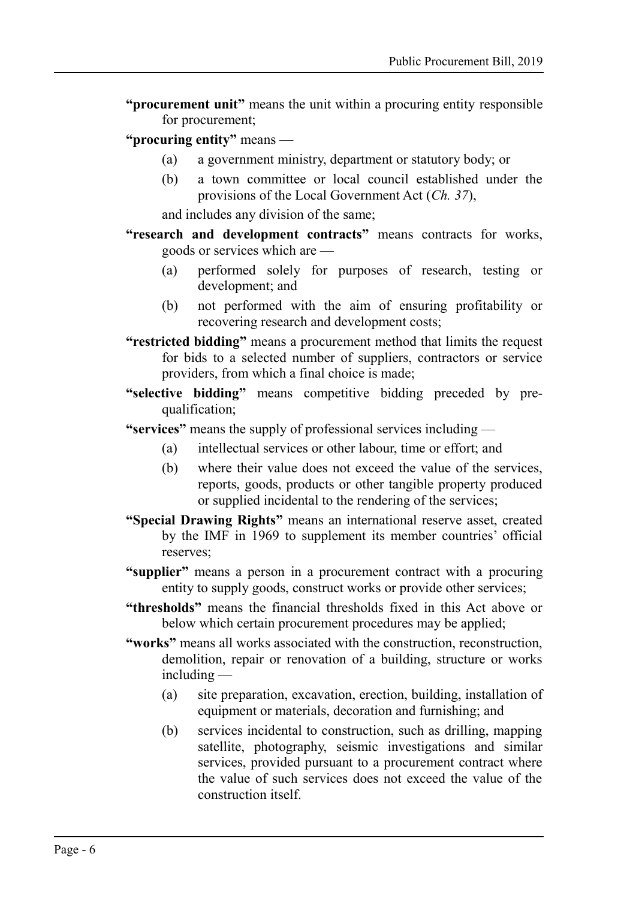- **"procurement unit"** means the unit within a procuring entity responsible for procurement;
- **"procuring entity"** means
	- (a) a government ministry, department or statutory body; or
	- (b) a town committee or local council established under the provisions of the Local Government Act (*Ch. 37*),

and includes any division of the same;

- **"research and development contracts"** means contracts for works, goods or services which are —
	- (a) performed solely for purposes of research, testing or development; and
	- (b) not performed with the aim of ensuring profitability or recovering research and development costs;
- **"restricted bidding"** means a procurement method that limits the request for bids to a selected number of suppliers, contractors or service providers, from which a final choice is made;
- **"selective bidding"** means competitive bidding preceded by prequalification;
- **"services"** means the supply of professional services including
	- (a) intellectual services or other labour, time or effort; and
	- (b) where their value does not exceed the value of the services, reports, goods, products or other tangible property produced or supplied incidental to the rendering of the services;
- **"Special Drawing Rights"** means an international reserve asset, created by the IMF in 1969 to supplement its member countries' official reserves;
- **"supplier"** means a person in a procurement contract with a procuring entity to supply goods, construct works or provide other services;
- **"thresholds"** means the financial thresholds fixed in this Act above or below which certain procurement procedures may be applied;
- **"works"** means all works associated with the construction, reconstruction, demolition, repair or renovation of a building, structure or works including —
	- (a) site preparation, excavation, erection, building, installation of equipment or materials, decoration and furnishing; and
	- (b) services incidental to construction, such as drilling, mapping satellite, photography, seismic investigations and similar services, provided pursuant to a procurement contract where the value of such services does not exceed the value of the construction itself.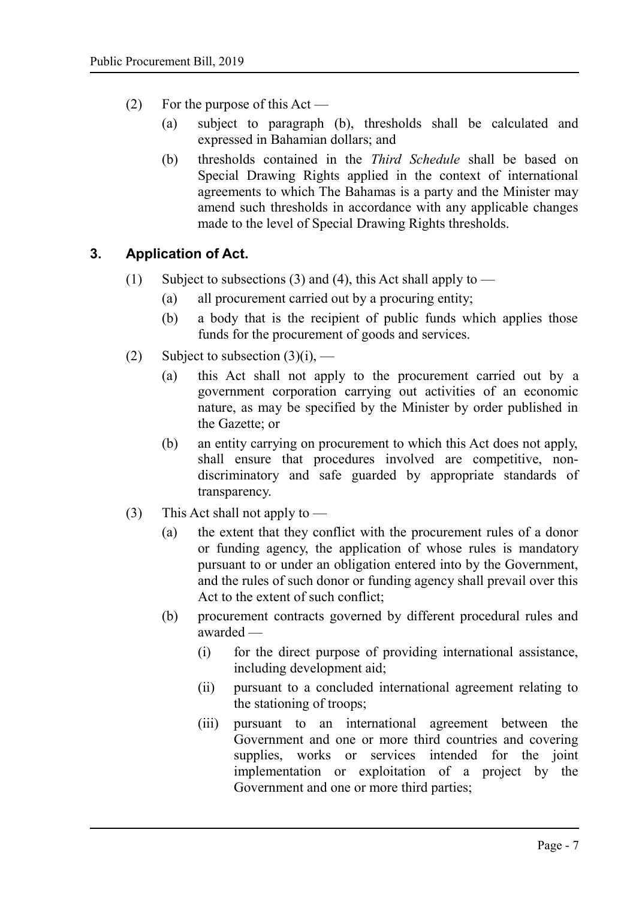- (2) For the purpose of this Act
	- (a) subject to paragraph (b), thresholds shall be calculated and expressed in Bahamian dollars; and
	- (b) thresholds contained in the *Third Schedule* shall be based on Special Drawing Rights applied in the context of international agreements to which The Bahamas is a party and the Minister may amend such thresholds in accordance with any applicable changes made to the level of Special Drawing Rights thresholds.

## **3. Application of Act.**

- <span id="page-6-0"></span>(1) Subject to subsections (3) and (4), this Act shall apply to  $-$ 
	- (a) all procurement carried out by a procuring entity;
	- (b) a body that is the recipient of public funds which applies those funds for the procurement of goods and services.
- (2) Subject to subsection  $(3)(i)$ ,
	- (a) this Act shall not apply to the procurement carried out by a government corporation carrying out activities of an economic nature, as may be specified by the Minister by order published in the Gazette; or
	- (b) an entity carrying on procurement to which this Act does not apply, shall ensure that procedures involved are competitive, nondiscriminatory and safe guarded by appropriate standards of transparency.
- (3) This Act shall not apply to
	- (a) the extent that they conflict with the procurement rules of a donor or funding agency, the application of whose rules is mandatory pursuant to or under an obligation entered into by the Government, and the rules of such donor or funding agency shall prevail over this Act to the extent of such conflict;
	- (b) procurement contracts governed by different procedural rules and awarded —
		- (i) for the direct purpose of providing international assistance, including development aid;
		- (ii) pursuant to a concluded international agreement relating to the stationing of troops;
		- (iii) pursuant to an international agreement between the Government and one or more third countries and covering supplies, works or services intended for the joint implementation or exploitation of a project by the Government and one or more third parties;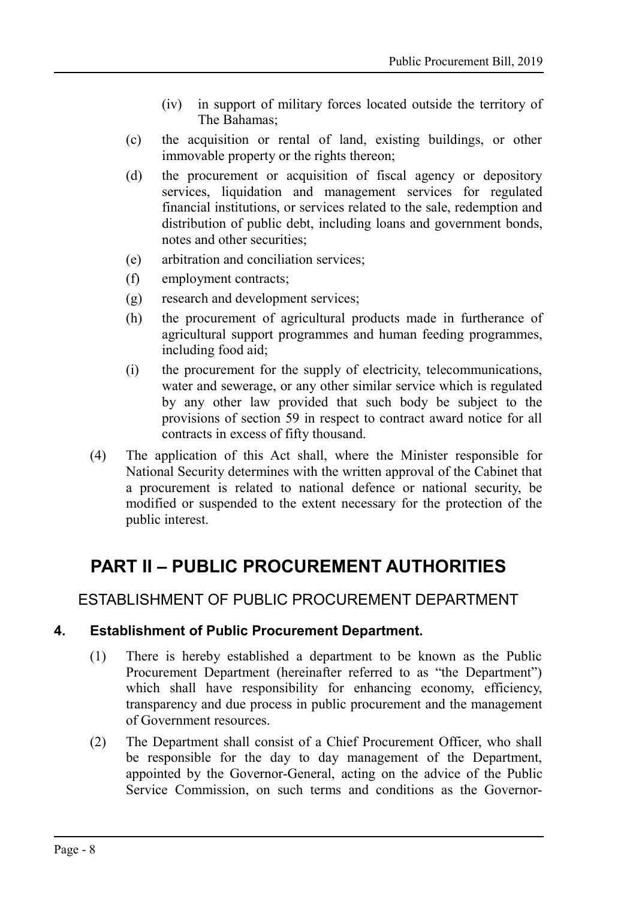- (iv) in support of military forces located outside the territory of The Bahamas;
- (c) the acquisition or rental of land, existing buildings, or other immovable property or the rights thereon;
- (d) the procurement or acquisition of fiscal agency or depository services, liquidation and management services for regulated financial institutions, or services related to the sale, redemption and distribution of public debt, including loans and government bonds, notes and other securities;
- (e) arbitration and conciliation services;
- (f) employment contracts;
- (g) research and development services;
- (h) the procurement of agricultural products made in furtherance of agricultural support programmes and human feeding programmes, including food aid;
- (i) the procurement for the supply of electricity, telecommunications, water and sewerage, or any other similar service which is regulated by any other law provided that such body be subject to the provisions of section 59 in respect to contract award notice for all contracts in excess of fifty thousand.
- (4) The application of this Act shall, where the Minister responsible for National Security determines with the written approval of the Cabinet that a procurement is related to national defence or national security, be modified or suspended to the extent necessary for the protection of the public interest.

## <span id="page-7-2"></span>**PART II – PUBLIC PROCUREMENT AUTHORITIES**

## <span id="page-7-1"></span>ESTABLISHMENT OF PUBLIC PROCUREMENT DEPARTMENT

## **4. Establishment of Public Procurement Department.**

- <span id="page-7-0"></span>(1) There is hereby established a department to be known as the Public Procurement Department (hereinafter referred to as "the Department") which shall have responsibility for enhancing economy, efficiency, transparency and due process in public procurement and the management of Government resources.
- (2) The Department shall consist of a Chief Procurement Officer, who shall be responsible for the day to day management of the Department, appointed by the Governor-General, acting on the advice of the Public Service Commission, on such terms and conditions as the Governor-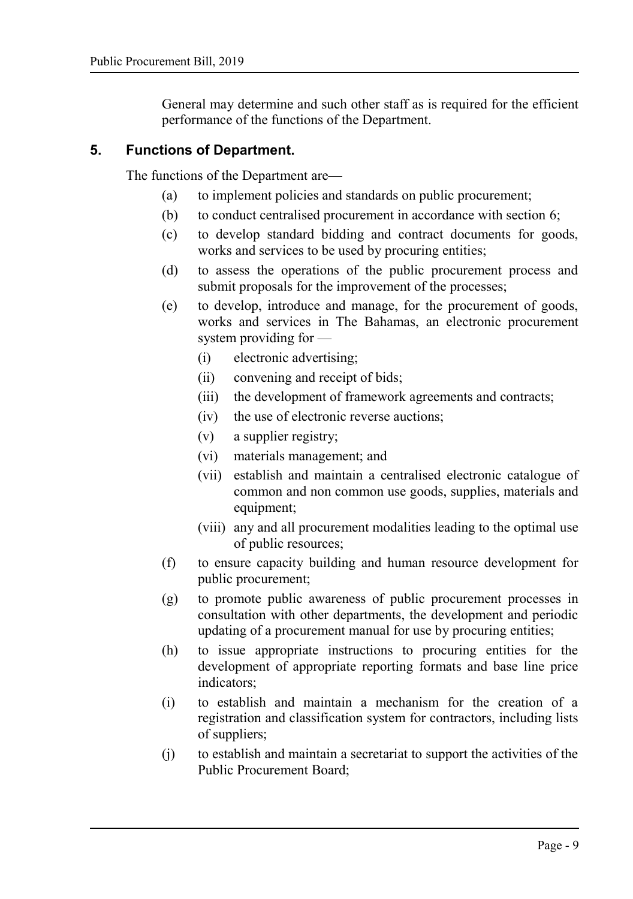General may determine and such other staff as is required for the efficient performance of the functions of the Department.

#### **5. Functions of Department.**

<span id="page-8-0"></span>The functions of the Department are—

- (a) to implement policies and standards on public procurement;
- (b) to conduct centralised procurement in accordance with section [6;](#page-9-0)
- (c) to develop standard bidding and contract documents for goods, works and services to be used by procuring entities;
- (d) to assess the operations of the public procurement process and submit proposals for the improvement of the processes;
- (e) to develop, introduce and manage, for the procurement of goods, works and services in The Bahamas, an electronic procurement system providing for —
	- (i) electronic advertising;
	- (ii) convening and receipt of bids;
	- (iii) the development of framework agreements and contracts;
	- (iv) the use of electronic reverse auctions;
	- (v) a supplier registry;
	- (vi) materials management; and
	- (vii) establish and maintain a centralised electronic catalogue of common and non common use goods, supplies, materials and equipment;
	- (viii) any and all procurement modalities leading to the optimal use of public resources;
- (f) to ensure capacity building and human resource development for public procurement;
- (g) to promote public awareness of public procurement processes in consultation with other departments, the development and periodic updating of a procurement manual for use by procuring entities;
- (h) to issue appropriate instructions to procuring entities for the development of appropriate reporting formats and base line price indicators;
- (i) to establish and maintain a mechanism for the creation of a registration and classification system for contractors, including lists of suppliers;
- (j) to establish and maintain a secretariat to support the activities of the Public Procurement Board;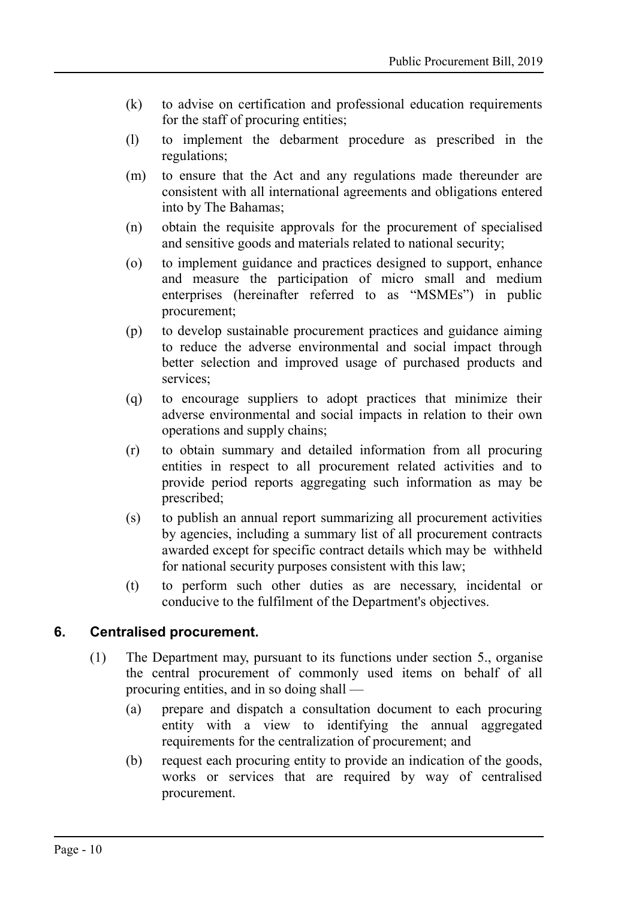- (k) to advise on certification and professional education requirements for the staff of procuring entities;
- (l) to implement the debarment procedure as prescribed in the regulations;
- (m) to ensure that the Act and any regulations made thereunder are consistent with all international agreements and obligations entered into by The Bahamas;
- (n) obtain the requisite approvals for the procurement of specialised and sensitive goods and materials related to national security;
- (o) to implement guidance and practices designed to support, enhance and measure the participation of micro small and medium enterprises (hereinafter referred to as "MSMEs") in public procurement;
- (p) to develop sustainable procurement practices and guidance aiming to reduce the adverse environmental and social impact through better selection and improved usage of purchased products and services;
- (q) to encourage suppliers to adopt practices that minimize their adverse environmental and social impacts in relation to their own operations and supply chains;
- (r) to obtain summary and detailed information from all procuring entities in respect to all procurement related activities and to provide period reports aggregating such information as may be prescribed;
- (s) to publish an annual report summarizing all procurement activities by agencies, including a summary list of all procurement contracts awarded except for specific contract details which may be withheld for national security purposes consistent with this law;
- (t) to perform such other duties as are necessary, incidental or conducive to the fulfilment of the Department's objectives.

## **6. Centralised procurement.**

- <span id="page-9-0"></span>(1) The Department may, pursuant to its functions under section [5.,](#page-8-0) organise the central procurement of commonly used items on behalf of all procuring entities, and in so doing shall —
	- (a) prepare and dispatch a consultation document to each procuring entity with a view to identifying the annual aggregated requirements for the centralization of procurement; and
	- (b) request each procuring entity to provide an indication of the goods, works or services that are required by way of centralised procurement.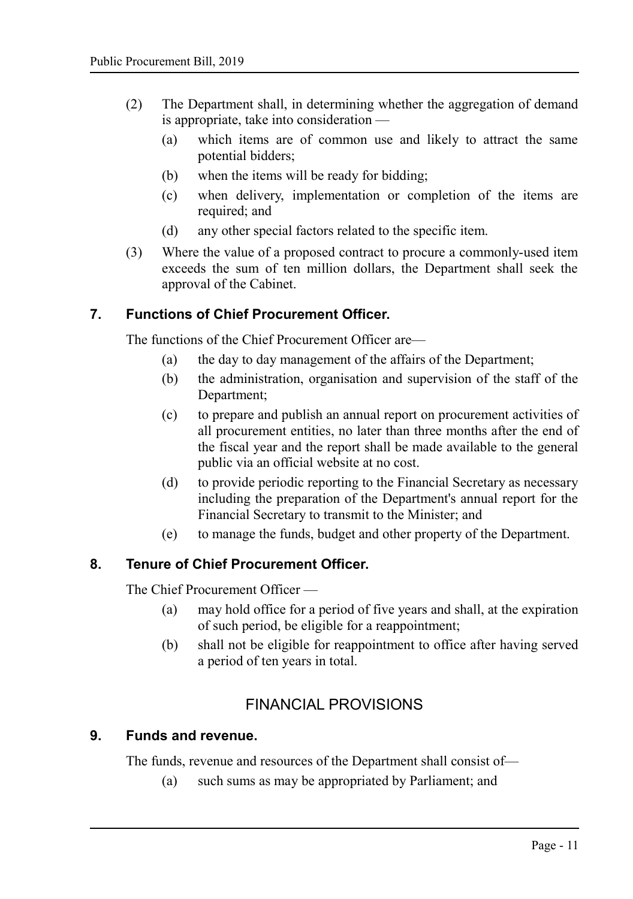- (2) The Department shall, in determining whether the aggregation of demand is appropriate, take into consideration —
	- (a) which items are of common use and likely to attract the same potential bidders;
	- (b) when the items will be ready for bidding;
	- (c) when delivery, implementation or completion of the items are required; and
	- (d) any other special factors related to the specific item.
- (3) Where the value of a proposed contract to procure a commonly-used item exceeds the sum of ten million dollars, the Department shall seek the approval of the Cabinet.

#### **7. Functions of Chief Procurement Officer.**

<span id="page-10-3"></span>The functions of the Chief Procurement Officer are—

- (a) the day to day management of the affairs of the Department;
- (b) the administration, organisation and supervision of the staff of the Department;
- (c) to prepare and publish an annual report on procurement activities of all procurement entities, no later than three months after the end of the fiscal year and the report shall be made available to the general public via an official website at no cost.
- (d) to provide periodic reporting to the Financial Secretary as necessary including the preparation of the Department's annual report for the Financial Secretary to transmit to the Minister; and
- (e) to manage the funds, budget and other property of the Department.

#### **8. Tenure of Chief Procurement Officer.**

<span id="page-10-2"></span>The Chief Procurement Officer —

- (a) may hold office for a period of five years and shall, at the expiration of such period, be eligible for a reappointment;
- (b) shall not be eligible for reappointment to office after having served a period of ten years in total.

## <span id="page-10-1"></span>FINANCIAL PROVISIONS

#### **9. Funds and revenue.**

<span id="page-10-0"></span>The funds, revenue and resources of the Department shall consist of—

(a) such sums as may be appropriated by Parliament; and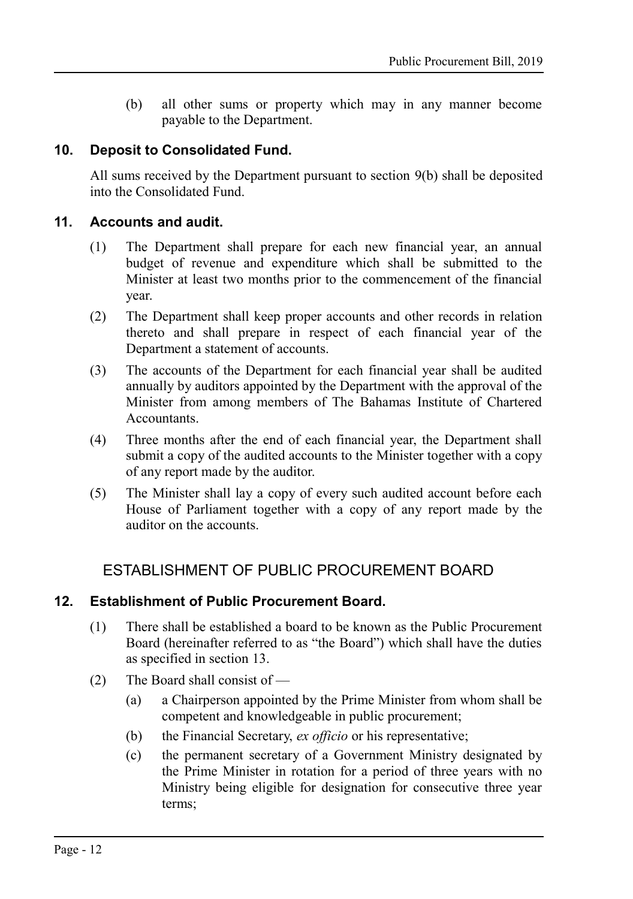(b) all other sums or property which may in any manner become payable to the Department.

#### **10. Deposit to Consolidated Fund.**

<span id="page-11-3"></span>All sums received by the Department pursuant to section [9\(](#page-10-0)b) shall be deposited into the Consolidated Fund.

#### **11. Accounts and audit.**

- <span id="page-11-2"></span>(1) The Department shall prepare for each new financial year, an annual budget of revenue and expenditure which shall be submitted to the Minister at least two months prior to the commencement of the financial year.
- (2) The Department shall keep proper accounts and other records in relation thereto and shall prepare in respect of each financial year of the Department a statement of accounts.
- (3) The accounts of the Department for each financial year shall be audited annually by auditors appointed by the Department with the approval of the Minister from among members of The Bahamas Institute of Chartered Accountants.
- (4) Three months after the end of each financial year, the Department shall submit a copy of the audited accounts to the Minister together with a copy of any report made by the auditor.
- (5) The Minister shall lay a copy of every such audited account before each House of Parliament together with a copy of any report made by the auditor on the accounts.

## <span id="page-11-1"></span>ESTABLISHMENT OF PUBLIC PROCUREMENT BOARD

#### **12. Establishment of Public Procurement Board.**

- <span id="page-11-0"></span>(1) There shall be established a board to be known as the Public Procurement Board (hereinafter referred to as "the Board") which shall have the duties as specified in section [13.](#page-12-2)
- (2) The Board shall consist of
	- (a) a Chairperson appointed by the Prime Minister from whom shall be competent and knowledgeable in public procurement;
	- (b) the Financial Secretary, *ex officio* or his representative;
	- (c) the permanent secretary of a Government Ministry designated by the Prime Minister in rotation for a period of three years with no Ministry being eligible for designation for consecutive three year terms;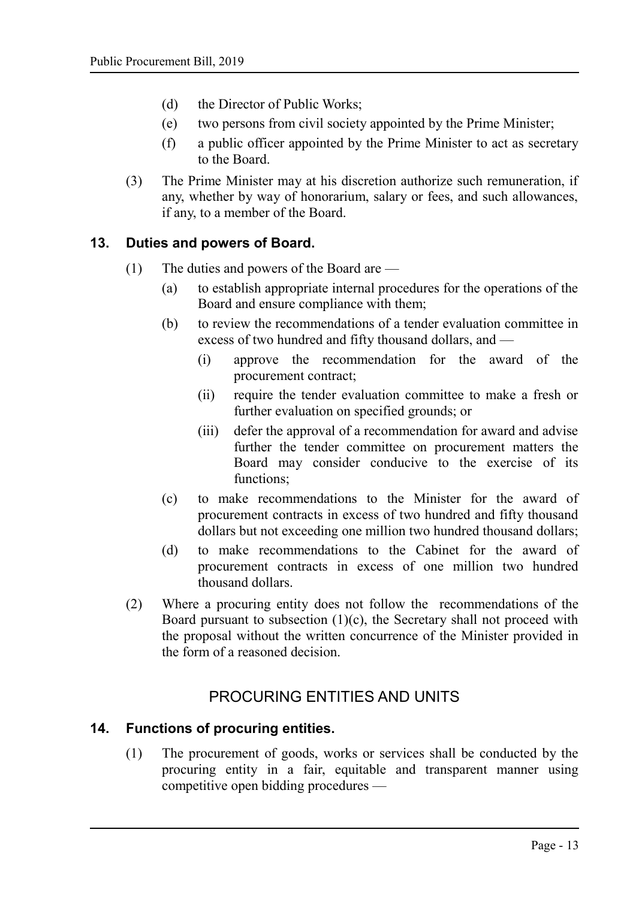- (d) the Director of Public Works;
- (e) two persons from civil society appointed by the Prime Minister;
- (f) a public officer appointed by the Prime Minister to act as secretary to the Board.
- (3) The Prime Minister may at his discretion authorize such remuneration, if any, whether by way of honorarium, salary or fees, and such allowances, if any, to a member of the Board.

#### **13. Duties and powers of Board.**

- <span id="page-12-2"></span>(1) The duties and powers of the Board are —
	- (a) to establish appropriate internal procedures for the operations of the Board and ensure compliance with them;
	- (b) to review the recommendations of a tender evaluation committee in excess of two hundred and fifty thousand dollars, and —
		- (i) approve the recommendation for the award of the procurement contract;
		- (ii) require the tender evaluation committee to make a fresh or further evaluation on specified grounds; or
		- (iii) defer the approval of a recommendation for award and advise further the tender committee on procurement matters the Board may consider conducive to the exercise of its functions;
	- (c) to make recommendations to the Minister for the award of procurement contracts in excess of two hundred and fifty thousand dollars but not exceeding one million two hundred thousand dollars;
	- (d) to make recommendations to the Cabinet for the award of procurement contracts in excess of one million two hundred thousand dollars.
- (2) Where a procuring entity does not follow the recommendations of the Board pursuant to subsection  $(1)(c)$ , the Secretary shall not proceed with the proposal without the written concurrence of the Minister provided in the form of a reasoned decision.

## <span id="page-12-1"></span>PROCURING ENTITIES AND UNITS

## **14. Functions of procuring entities.**

<span id="page-12-0"></span>(1) The procurement of goods, works or services shall be conducted by the procuring entity in a fair, equitable and transparent manner using competitive open bidding procedures —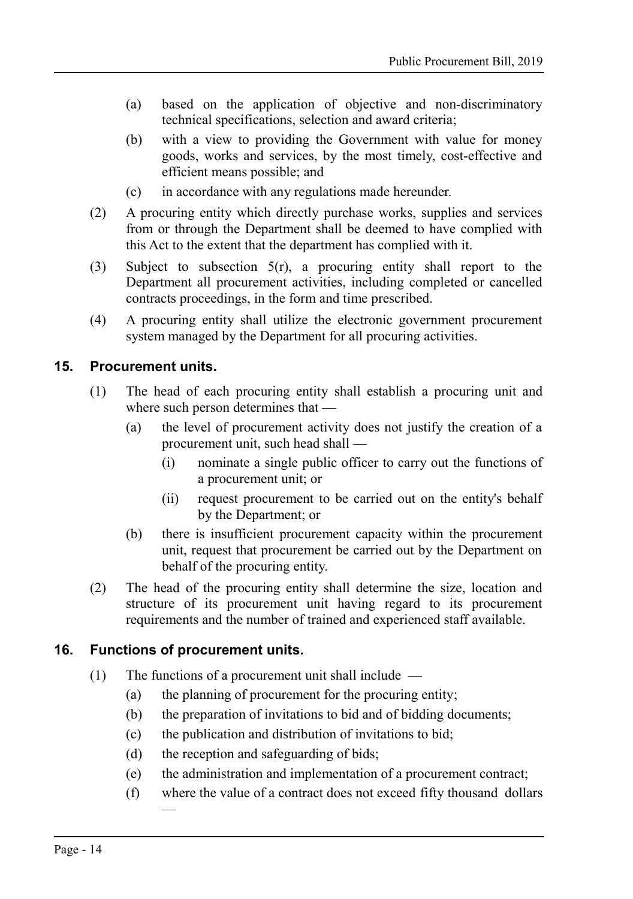- (a) based on the application of objective and non-discriminatory technical specifications, selection and award criteria;
- (b) with a view to providing the Government with value for money goods, works and services, by the most timely, cost-effective and efficient means possible; and
- (c) in accordance with any regulations made hereunder.
- (2) A procuring entity which directly purchase works, supplies and services from or through the Department shall be deemed to have complied with this Act to the extent that the department has complied with it.
- (3) Subject to subsection 5(r), a procuring entity shall report to the Department all procurement activities, including completed or cancelled contracts proceedings, in the form and time prescribed.
- (4) A procuring entity shall utilize the electronic government procurement system managed by the Department for all procuring activities.

#### **15. Procurement units.**

- <span id="page-13-1"></span>(1) The head of each procuring entity shall establish a procuring unit and where such person determines that —
	- (a) the level of procurement activity does not justify the creation of a procurement unit, such head shall —
		- (i) nominate a single public officer to carry out the functions of a procurement unit; or
		- (ii) request procurement to be carried out on the entity's behalf by the Department; or
	- (b) there is insufficient procurement capacity within the procurement unit, request that procurement be carried out by the Department on behalf of the procuring entity.
- (2) The head of the procuring entity shall determine the size, location and structure of its procurement unit having regard to its procurement requirements and the number of trained and experienced staff available.

#### **16. Functions of procurement units.**

- <span id="page-13-0"></span>(1) The functions of a procurement unit shall include —
	- (a) the planning of procurement for the procuring entity;
	- (b) the preparation of invitations to bid and of bidding documents;
	- (c) the publication and distribution of invitations to bid;
	- (d) the reception and safeguarding of bids;
	- (e) the administration and implementation of a procurement contract;
	- (f) where the value of a contract does not exceed fifty thousand dollars —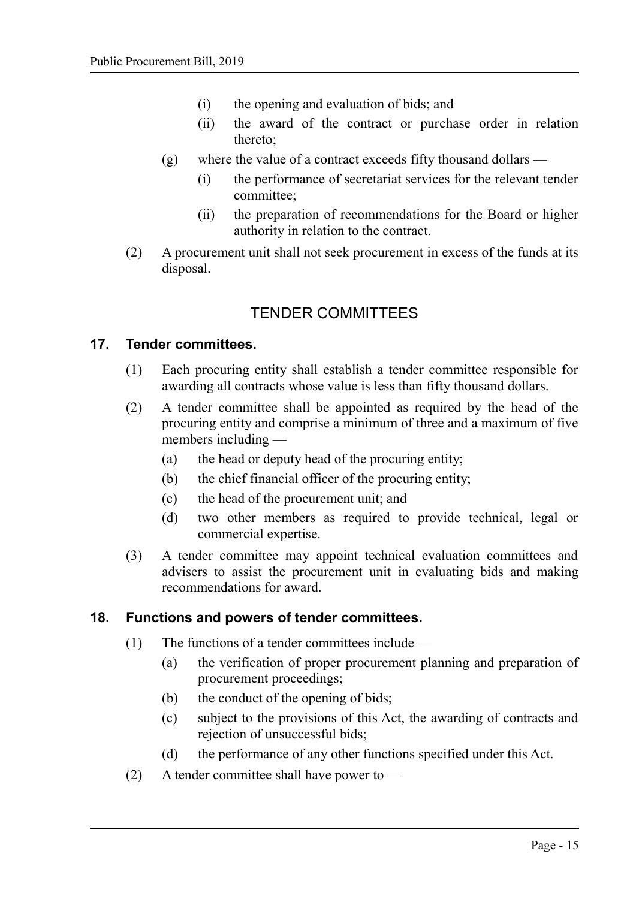- (i) the opening and evaluation of bids; and
- (ii) the award of the contract or purchase order in relation thereto;
- (g) where the value of a contract exceeds fifty thousand dollars
	- (i) the performance of secretariat services for the relevant tender committee;
	- (ii) the preparation of recommendations for the Board or higher authority in relation to the contract.
- (2) A procurement unit shall not seek procurement in excess of the funds at its disposal.

## <span id="page-14-2"></span>TENDER COMMITTEES

#### **17. Tender committees.**

- <span id="page-14-1"></span>(1) Each procuring entity shall establish a tender committee responsible for awarding all contracts whose value is less than fifty thousand dollars.
- (2) A tender committee shall be appointed as required by the head of the procuring entity and comprise a minimum of three and a maximum of five members including —
	- (a) the head or deputy head of the procuring entity;
	- (b) the chief financial officer of the procuring entity;
	- (c) the head of the procurement unit; and
	- (d) two other members as required to provide technical, legal or commercial expertise.
- (3) A tender committee may appoint technical evaluation committees and advisers to assist the procurement unit in evaluating bids and making recommendations for award.

#### **18. Functions and powers of tender committees.**

- <span id="page-14-0"></span>(1) The functions of a tender committees include —
	- (a) the verification of proper procurement planning and preparation of procurement proceedings;
	- (b) the conduct of the opening of bids;
	- (c) subject to the provisions of this Act, the awarding of contracts and rejection of unsuccessful bids;
	- (d) the performance of any other functions specified under this Act.
- (2) A tender committee shall have power to —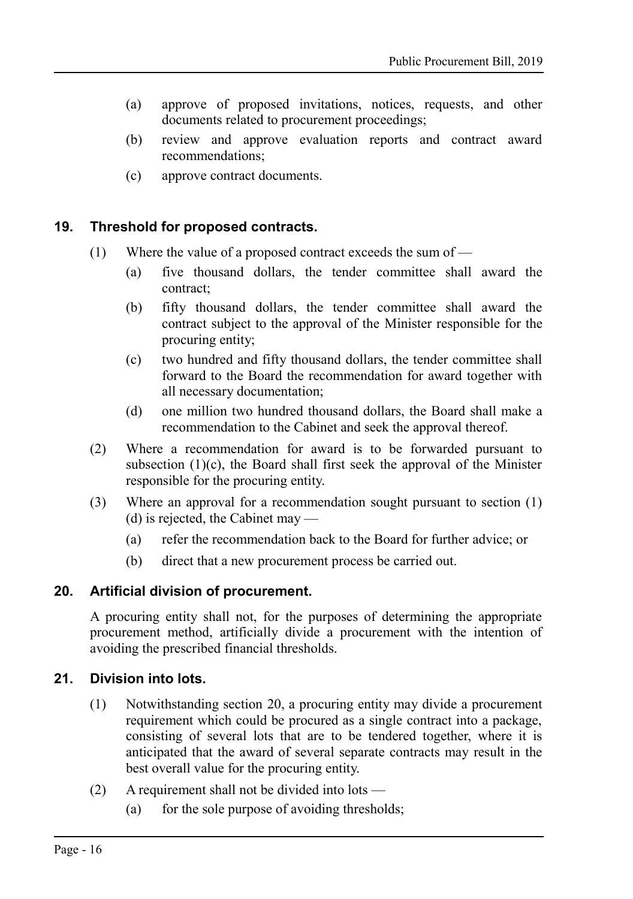- (a) approve of proposed invitations, notices, requests, and other documents related to procurement proceedings;
- (b) review and approve evaluation reports and contract award recommendations;
- (c) approve contract documents.

#### **19. Threshold for proposed contracts.**

- <span id="page-15-2"></span>(1) Where the value of a proposed contract exceeds the sum of —
	- (a) five thousand dollars, the tender committee shall award the contract;
	- (b) fifty thousand dollars, the tender committee shall award the contract subject to the approval of the Minister responsible for the procuring entity;
	- (c) two hundred and fifty thousand dollars, the tender committee shall forward to the Board the recommendation for award together with all necessary documentation;
	- (d) one million two hundred thousand dollars, the Board shall make a recommendation to the Cabinet and seek the approval thereof.
- (2) Where a recommendation for award is to be forwarded pursuant to subsection  $(1)(c)$ , the Board shall first seek the approval of the Minister responsible for the procuring entity.
- (3) Where an approval for a recommendation sought pursuant to section (1) (d) is rejected, the Cabinet may —
	- (a) refer the recommendation back to the Board for further advice; or
	- (b) direct that a new procurement process be carried out.

#### **20. Artificial division of procurement.**

<span id="page-15-1"></span>A procuring entity shall not, for the purposes of determining the appropriate procurement method, artificially divide a procurement with the intention of avoiding the prescribed financial thresholds.

#### **21. Division into lots.**

- <span id="page-15-0"></span>(1) Notwithstanding section [20,](#page-15-1) a procuring entity may divide a procurement requirement which could be procured as a single contract into a package, consisting of several lots that are to be tendered together, where it is anticipated that the award of several separate contracts may result in the best overall value for the procuring entity.
- (2) A requirement shall not be divided into lots
	- (a) for the sole purpose of avoiding thresholds;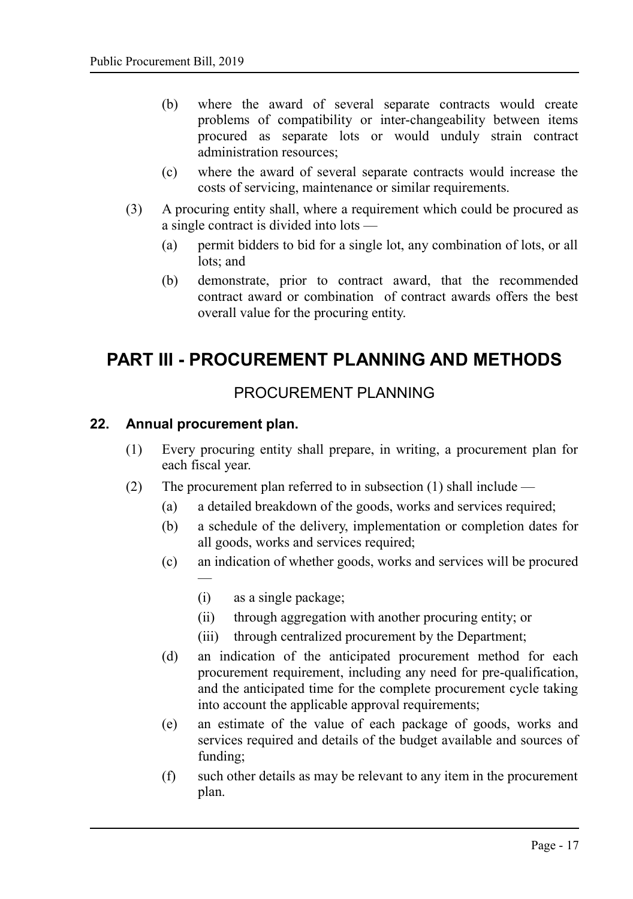- (b) where the award of several separate contracts would create problems of compatibility or inter-changeability between items procured as separate lots or would unduly strain contract administration resources;
- (c) where the award of several separate contracts would increase the costs of servicing, maintenance or similar requirements.
- (3) A procuring entity shall, where a requirement which could be procured as a single contract is divided into lots —
	- (a) permit bidders to bid for a single lot, any combination of lots, or all lots; and
	- (b) demonstrate, prior to contract award, that the recommended contract award or combination of contract awards offers the best overall value for the procuring entity.

## <span id="page-16-2"></span>**PART III - PROCUREMENT PLANNING AND METHODS**

## <span id="page-16-1"></span>PROCUREMENT PLANNING

#### **22. Annual procurement plan.**

—

- <span id="page-16-0"></span>(1) Every procuring entity shall prepare, in writing, a procurement plan for each fiscal year.
- (2) The procurement plan referred to in subsection (1) shall include
	- (a) a detailed breakdown of the goods, works and services required;
	- (b) a schedule of the delivery, implementation or completion dates for all goods, works and services required;
	- (c) an indication of whether goods, works and services will be procured
		- (i) as a single package;
		- (ii) through aggregation with another procuring entity; or
		- (iii) through centralized procurement by the Department;
	- (d) an indication of the anticipated procurement method for each procurement requirement, including any need for pre-qualification, and the anticipated time for the complete procurement cycle taking into account the applicable approval requirements;
	- (e) an estimate of the value of each package of goods, works and services required and details of the budget available and sources of funding;
	- (f) such other details as may be relevant to any item in the procurement plan.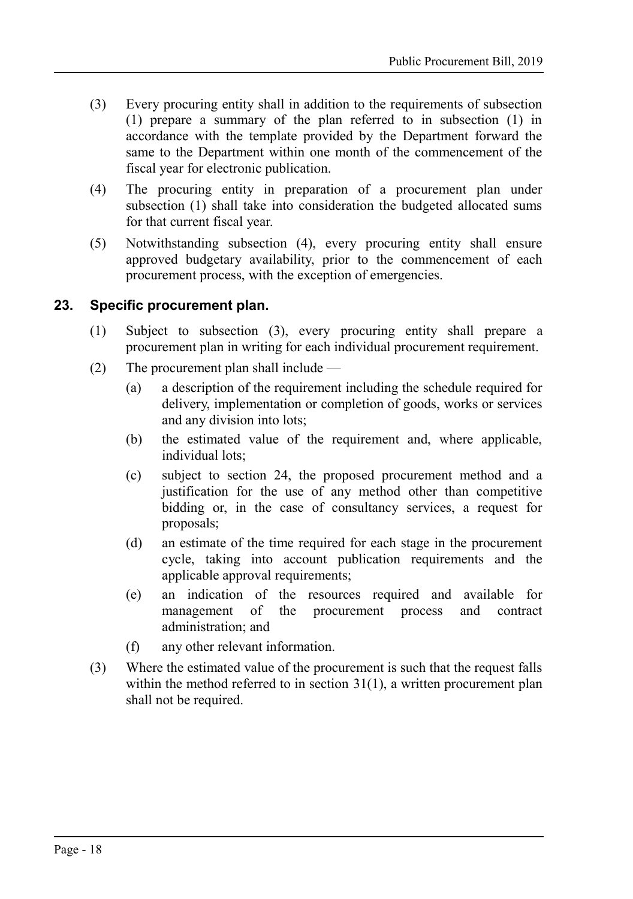- (3) Every procuring entity shall in addition to the requirements of subsection (1) prepare a summary of the plan referred to in subsection (1) in accordance with the template provided by the Department forward the same to the Department within one month of the commencement of the fiscal year for electronic publication.
- (4) The procuring entity in preparation of a procurement plan under subsection (1) shall take into consideration the budgeted allocated sums for that current fiscal year.
- (5) Notwithstanding subsection (4), every procuring entity shall ensure approved budgetary availability, prior to the commencement of each procurement process, with the exception of emergencies.

#### **23. Specific procurement plan.**

- <span id="page-17-0"></span>(1) Subject to subsection (3), every procuring entity shall prepare a procurement plan in writing for each individual procurement requirement.
- (2) The procurement plan shall include
	- (a) a description of the requirement including the schedule required for delivery, implementation or completion of goods, works or services and any division into lots;
	- (b) the estimated value of the requirement and, where applicable, individual lots;
	- (c) subject to section [24,](#page-18-2) the proposed procurement method and a justification for the use of any method other than competitive bidding or, in the case of consultancy services, a request for proposals;
	- (d) an estimate of the time required for each stage in the procurement cycle, taking into account publication requirements and the applicable approval requirements;
	- (e) an indication of the resources required and available for management of the procurement process and contract administration; and
	- (f) any other relevant information.
- (3) Where the estimated value of the procurement is such that the request falls within the method referred to in section [31\(](#page-24-1)1), a written procurement plan shall not be required.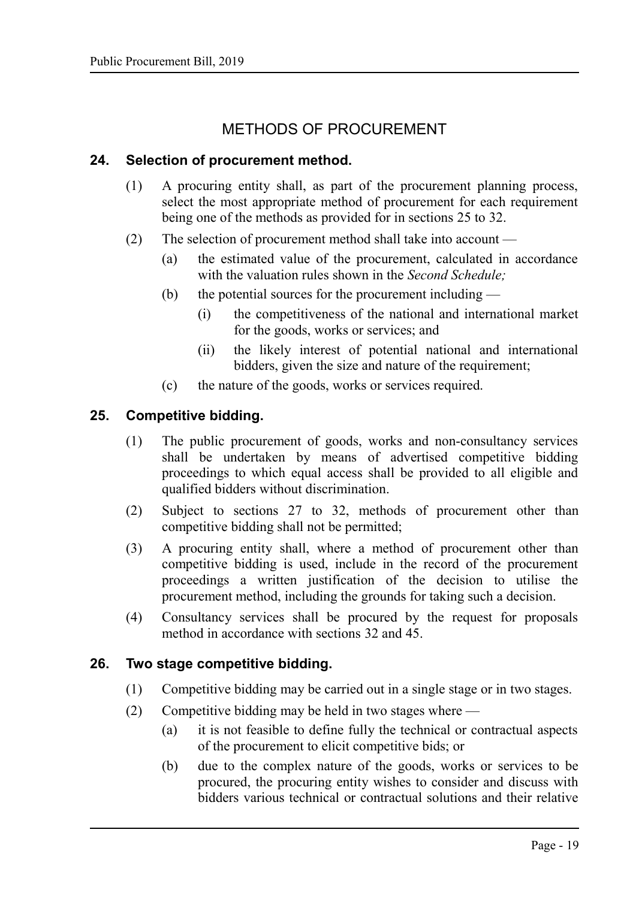## <span id="page-18-3"></span>METHODS OF PROCUREMENT

#### **24. Selection of procurement method.**

- <span id="page-18-2"></span>(1) A procuring entity shall, as part of the procurement planning process, select the most appropriate method of procurement for each requirement being one of the methods as provided for in sections [25](#page-18-1) to [32.](#page-24-0)
- (2) The selection of procurement method shall take into account
	- (a) the estimated value of the procurement, calculated in accordance with the valuation rules shown in the *Second Schedule;*
	- (b) the potential sources for the procurement including  $-$ 
		- (i) the competitiveness of the national and international market for the goods, works or services; and
		- (ii) the likely interest of potential national and international bidders, given the size and nature of the requirement;
	- (c) the nature of the goods, works or services required.

#### **25. Competitive bidding.**

- <span id="page-18-1"></span>(1) The public procurement of goods, works and non-consultancy services shall be undertaken by means of advertised competitive bidding proceedings to which equal access shall be provided to all eligible and qualified bidders without discrimination.
- (2) Subject to sections [27](#page-19-0) to [32,](#page-24-0) methods of procurement other than competitive bidding shall not be permitted;
- (3) A procuring entity shall, where a method of procurement other than competitive bidding is used, include in the record of the procurement proceedings a written justification of the decision to utilise the procurement method, including the grounds for taking such a decision.
- (4) Consultancy services shall be procured by the request for proposals method in accordance with sections [32](#page-24-0) and [45.](#page-37-2)

#### **26. Two stage competitive bidding.**

- <span id="page-18-0"></span>(1) Competitive bidding may be carried out in a single stage or in two stages.
- (2) Competitive bidding may be held in two stages where
	- (a) it is not feasible to define fully the technical or contractual aspects of the procurement to elicit competitive bids; or
	- (b) due to the complex nature of the goods, works or services to be procured, the procuring entity wishes to consider and discuss with bidders various technical or contractual solutions and their relative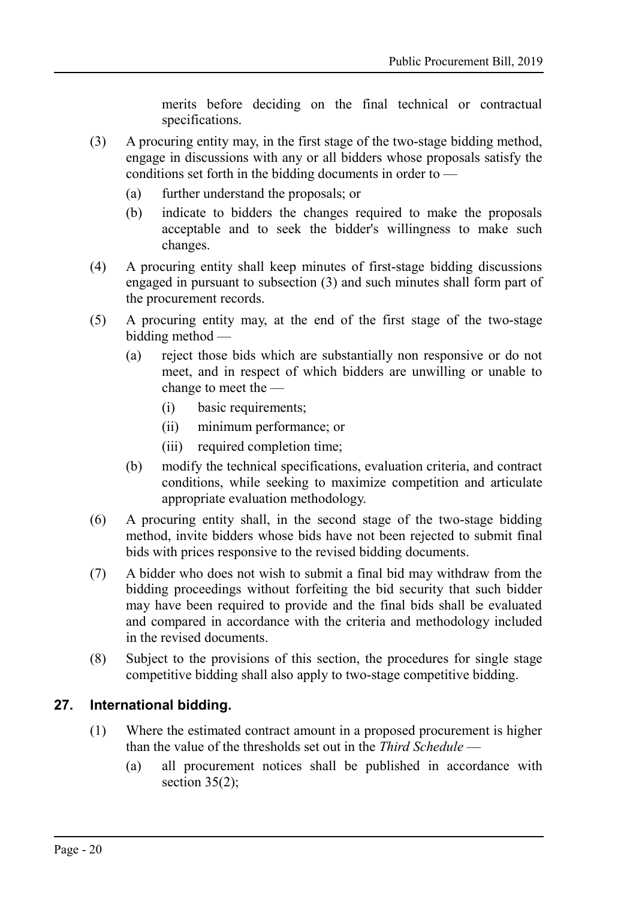merits before deciding on the final technical or contractual specifications.

- (3) A procuring entity may, in the first stage of the two-stage bidding method, engage in discussions with any or all bidders whose proposals satisfy the conditions set forth in the bidding documents in order to —
	- (a) further understand the proposals; or
	- (b) indicate to bidders the changes required to make the proposals acceptable and to seek the bidder's willingness to make such changes.
- (4) A procuring entity shall keep minutes of first-stage bidding discussions engaged in pursuant to subsection (3) and such minutes shall form part of the procurement records.
- (5) A procuring entity may, at the end of the first stage of the two-stage bidding method —
	- (a) reject those bids which are substantially non responsive or do not meet, and in respect of which bidders are unwilling or unable to change to meet the —
		- (i) basic requirements;
		- (ii) minimum performance; or
		- (iii) required completion time;
	- (b) modify the technical specifications, evaluation criteria, and contract conditions, while seeking to maximize competition and articulate appropriate evaluation methodology.
- (6) A procuring entity shall, in the second stage of the two-stage bidding method, invite bidders whose bids have not been rejected to submit final bids with prices responsive to the revised bidding documents.
- (7) A bidder who does not wish to submit a final bid may withdraw from the bidding proceedings without forfeiting the bid security that such bidder may have been required to provide and the final bids shall be evaluated and compared in accordance with the criteria and methodology included in the revised documents.
- (8) Subject to the provisions of this section, the procedures for single stage competitive bidding shall also apply to two-stage competitive bidding.

## **27. International bidding.**

- <span id="page-19-0"></span>(1) Where the estimated contract amount in a proposed procurement is higher than the value of the thresholds set out in the *Third Schedule* —
	- (a) all procurement notices shall be published in accordance with section  $35(2)$ ;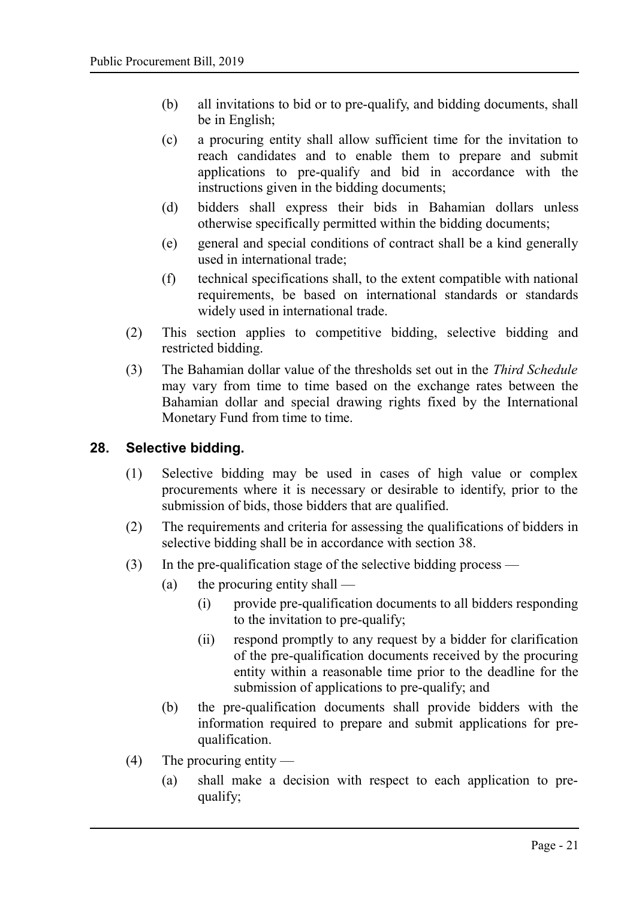- (b) all invitations to bid or to pre-qualify, and bidding documents, shall be in English;
- (c) a procuring entity shall allow sufficient time for the invitation to reach candidates and to enable them to prepare and submit applications to pre-qualify and bid in accordance with the instructions given in the bidding documents;
- (d) bidders shall express their bids in Bahamian dollars unless otherwise specifically permitted within the bidding documents;
- (e) general and special conditions of contract shall be a kind generally used in international trade;
- (f) technical specifications shall, to the extent compatible with national requirements, be based on international standards or standards widely used in international trade.
- (2) This section applies to competitive bidding, selective bidding and restricted bidding.
- (3) The Bahamian dollar value of the thresholds set out in the *Third Schedule* may vary from time to time based on the exchange rates between the Bahamian dollar and special drawing rights fixed by the International Monetary Fund from time to time.

#### **28. Selective bidding.**

- <span id="page-20-0"></span>(1) Selective bidding may be used in cases of high value or complex procurements where it is necessary or desirable to identify, prior to the submission of bids, those bidders that are qualified.
- (2) The requirements and criteria for assessing the qualifications of bidders in selective bidding shall be in accordance with section [38.](#page-31-0)
- (3) In the pre-qualification stage of the selective bidding process
	- (a) the procuring entity shall
		- (i) provide pre-qualification documents to all bidders responding to the invitation to pre-qualify;
		- (ii) respond promptly to any request by a bidder for clarification of the pre-qualification documents received by the procuring entity within a reasonable time prior to the deadline for the submission of applications to pre-qualify; and
	- (b) the pre-qualification documents shall provide bidders with the information required to prepare and submit applications for prequalification.
- (4) The procuring entity
	- (a) shall make a decision with respect to each application to prequalify;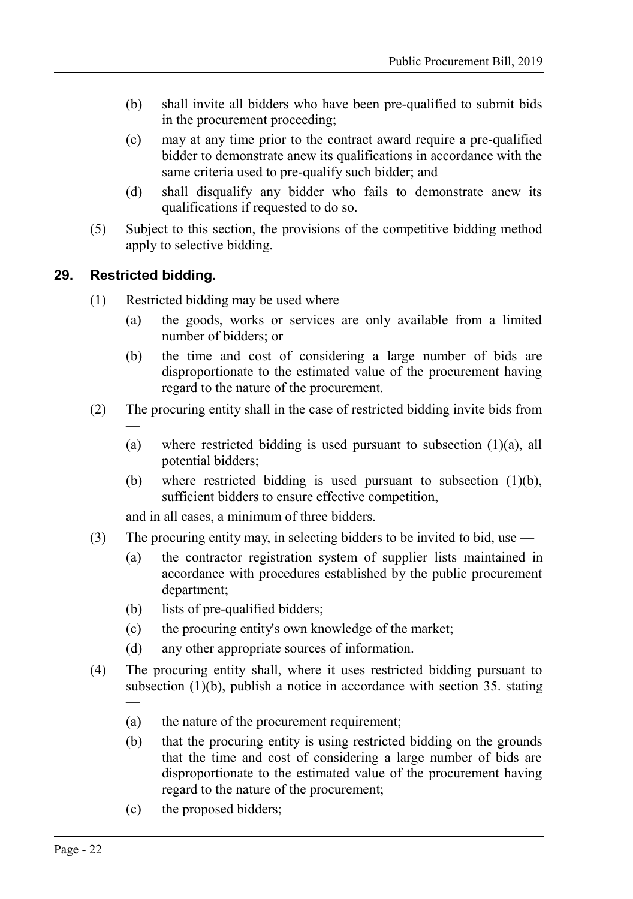- (b) shall invite all bidders who have been pre-qualified to submit bids in the procurement proceeding;
- (c) may at any time prior to the contract award require a pre-qualified bidder to demonstrate anew its qualifications in accordance with the same criteria used to pre-qualify such bidder; and
- (d) shall disqualify any bidder who fails to demonstrate anew its qualifications if requested to do so.
- (5) Subject to this section, the provisions of the competitive bidding method apply to selective bidding.

#### **29. Restricted bidding.**

—

—

- <span id="page-21-0"></span>(1) Restricted bidding may be used where —
	- (a) the goods, works or services are only available from a limited number of bidders; or
	- (b) the time and cost of considering a large number of bids are disproportionate to the estimated value of the procurement having regard to the nature of the procurement.
- (2) The procuring entity shall in the case of restricted bidding invite bids from
	- (a) where restricted bidding is used pursuant to subsection  $(1)(a)$ , all potential bidders;
	- (b) where restricted bidding is used pursuant to subsection (1)(b), sufficient bidders to ensure effective competition,

and in all cases, a minimum of three bidders.

- (3) The procuring entity may, in selecting bidders to be invited to bid, use
	- (a) the contractor registration system of supplier lists maintained in accordance with procedures established by the public procurement department;
	- (b) lists of pre-qualified bidders;
	- (c) the procuring entity's own knowledge of the market;
	- (d) any other appropriate sources of information.
- (4) The procuring entity shall, where it uses restricted bidding pursuant to subsection (1)(b), publish a notice in accordance with section [35.](#page-27-0) stating
	- (a) the nature of the procurement requirement;
	- (b) that the procuring entity is using restricted bidding on the grounds that the time and cost of considering a large number of bids are disproportionate to the estimated value of the procurement having regard to the nature of the procurement;
	- (c) the proposed bidders;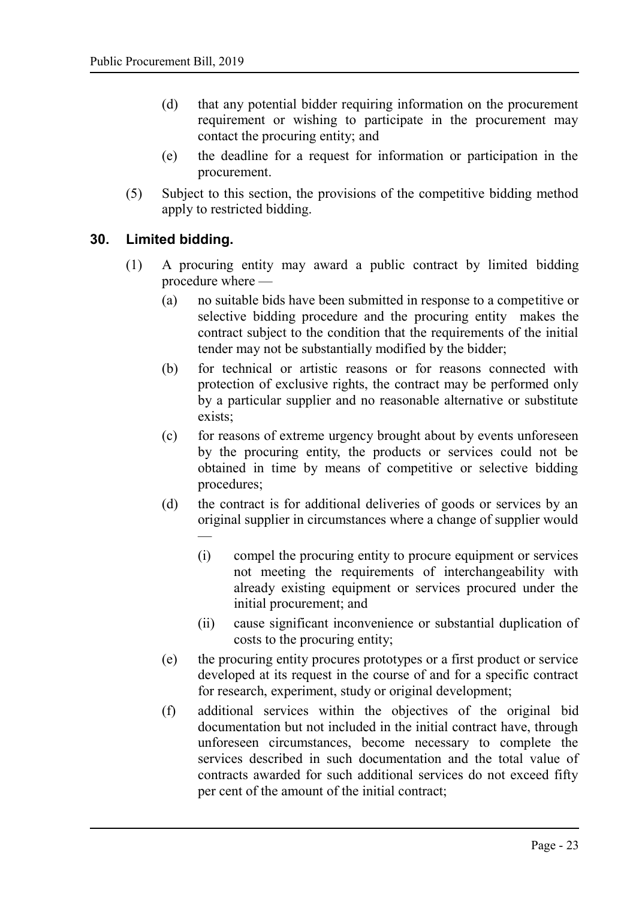- (d) that any potential bidder requiring information on the procurement requirement or wishing to participate in the procurement may contact the procuring entity; and
- (e) the deadline for a request for information or participation in the procurement.
- (5) Subject to this section, the provisions of the competitive bidding method apply to restricted bidding.

#### **30. Limited bidding.**

- <span id="page-22-0"></span>(1) A procuring entity may award a public contract by limited bidding procedure where —
	- (a) no suitable bids have been submitted in response to a competitive or selective bidding procedure and the procuring entity makes the contract subject to the condition that the requirements of the initial tender may not be substantially modified by the bidder;
	- (b) for technical or artistic reasons or for reasons connected with protection of exclusive rights, the contract may be performed only by a particular supplier and no reasonable alternative or substitute exists;
	- (c) for reasons of extreme urgency brought about by events unforeseen by the procuring entity, the products or services could not be obtained in time by means of competitive or selective bidding procedures;
	- (d) the contract is for additional deliveries of goods or services by an original supplier in circumstances where a change of supplier would —
		- (i) compel the procuring entity to procure equipment or services not meeting the requirements of interchangeability with already existing equipment or services procured under the initial procurement; and
		- (ii) cause significant inconvenience or substantial duplication of costs to the procuring entity;
	- (e) the procuring entity procures prototypes or a first product or service developed at its request in the course of and for a specific contract for research, experiment, study or original development;
	- (f) additional services within the objectives of the original bid documentation but not included in the initial contract have, through unforeseen circumstances, become necessary to complete the services described in such documentation and the total value of contracts awarded for such additional services do not exceed fifty per cent of the amount of the initial contract;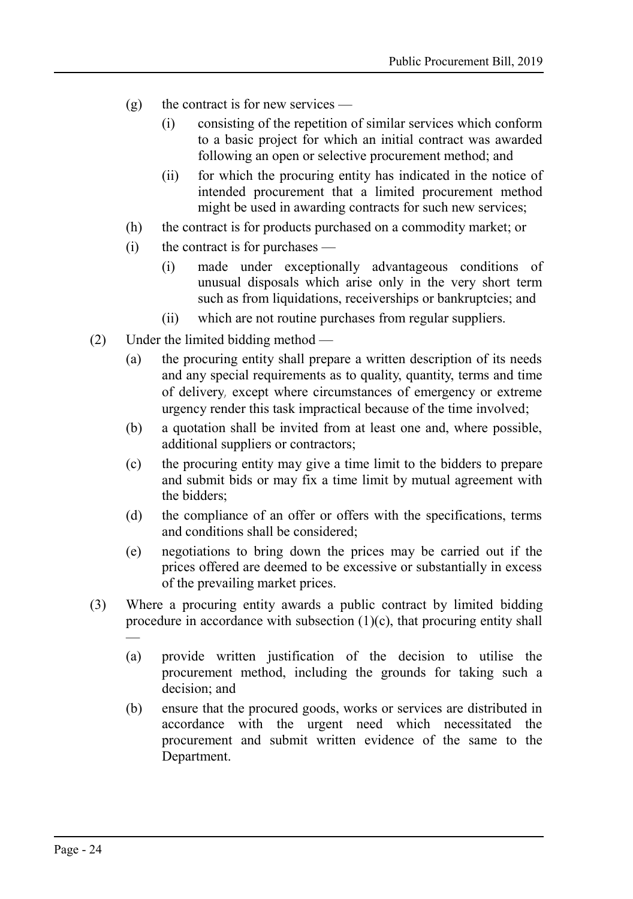- $(g)$  the contract is for new services
	- (i) consisting of the repetition of similar services which conform to a basic project for which an initial contract was awarded following an open or selective procurement method; and
	- (ii) for which the procuring entity has indicated in the notice of intended procurement that a limited procurement method might be used in awarding contracts for such new services;
- (h) the contract is for products purchased on a commodity market; or
- (i) the contract is for purchases
	- (i) made under exceptionally advantageous conditions of unusual disposals which arise only in the very short term such as from liquidations, receiverships or bankruptcies; and
	- (ii) which are not routine purchases from regular suppliers.
- (2) Under the limited bidding method
	- (a) the procuring entity shall prepare a written description of its needs and any special requirements as to quality, quantity, terms and time of delivery, except where circumstances of emergency or extreme urgency render this task impractical because of the time involved;
	- (b) a quotation shall be invited from at least one and, where possible, additional suppliers or contractors;
	- (c) the procuring entity may give a time limit to the bidders to prepare and submit bids or may fix a time limit by mutual agreement with the bidders;
	- (d) the compliance of an offer or offers with the specifications, terms and conditions shall be considered;
	- (e) negotiations to bring down the prices may be carried out if the prices offered are deemed to be excessive or substantially in excess of the prevailing market prices.
- (3) Where a procuring entity awards a public contract by limited bidding procedure in accordance with subsection  $(1)(c)$ , that procuring entity shall —
	- (a) provide written justification of the decision to utilise the procurement method, including the grounds for taking such a decision; and
	- (b) ensure that the procured goods, works or services are distributed in accordance with the urgent need which necessitated the procurement and submit written evidence of the same to the Department.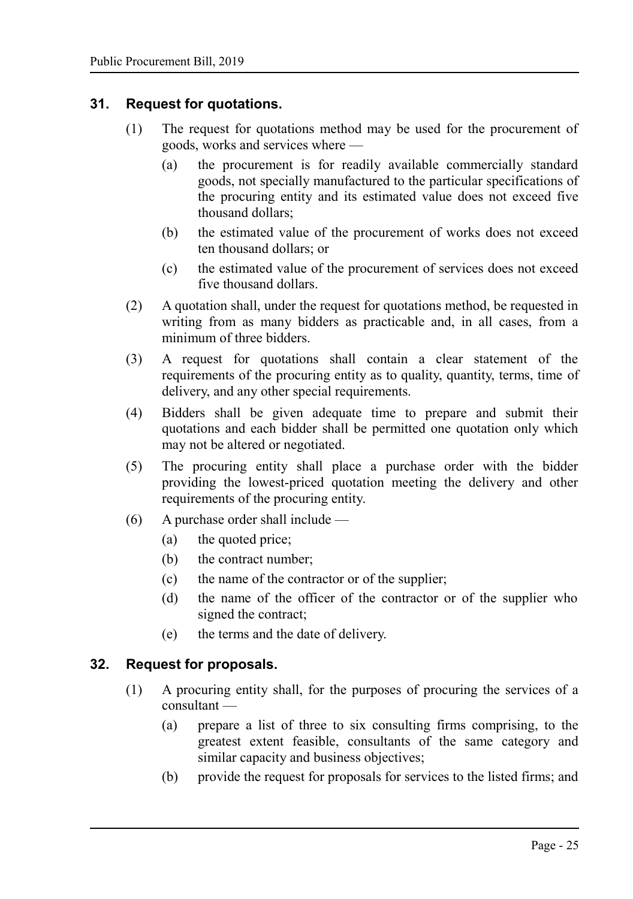#### **31. Request for quotations.**

- <span id="page-24-1"></span>(1) The request for quotations method may be used for the procurement of goods, works and services where —
	- (a) the procurement is for readily available commercially standard goods, not specially manufactured to the particular specifications of the procuring entity and its estimated value does not exceed five thousand dollars;
	- (b) the estimated value of the procurement of works does not exceed ten thousand dollars; or
	- (c) the estimated value of the procurement of services does not exceed five thousand dollars.
- (2) A quotation shall, under the request for quotations method, be requested in writing from as many bidders as practicable and, in all cases, from a minimum of three bidders.
- (3) A request for quotations shall contain a clear statement of the requirements of the procuring entity as to quality, quantity, terms, time of delivery, and any other special requirements.
- (4) Bidders shall be given adequate time to prepare and submit their quotations and each bidder shall be permitted one quotation only which may not be altered or negotiated.
- (5) The procuring entity shall place a purchase order with the bidder providing the lowest-priced quotation meeting the delivery and other requirements of the procuring entity.
- (6) A purchase order shall include
	- (a) the quoted price;
	- (b) the contract number;
	- (c) the name of the contractor or of the supplier;
	- (d) the name of the officer of the contractor or of the supplier who signed the contract;
	- (e) the terms and the date of delivery.

#### **32. Request for proposals.**

- <span id="page-24-0"></span>(1) A procuring entity shall, for the purposes of procuring the services of a consultant —
	- (a) prepare a list of three to six consulting firms comprising, to the greatest extent feasible, consultants of the same category and similar capacity and business objectives;
	- (b) provide the request for proposals for services to the listed firms; and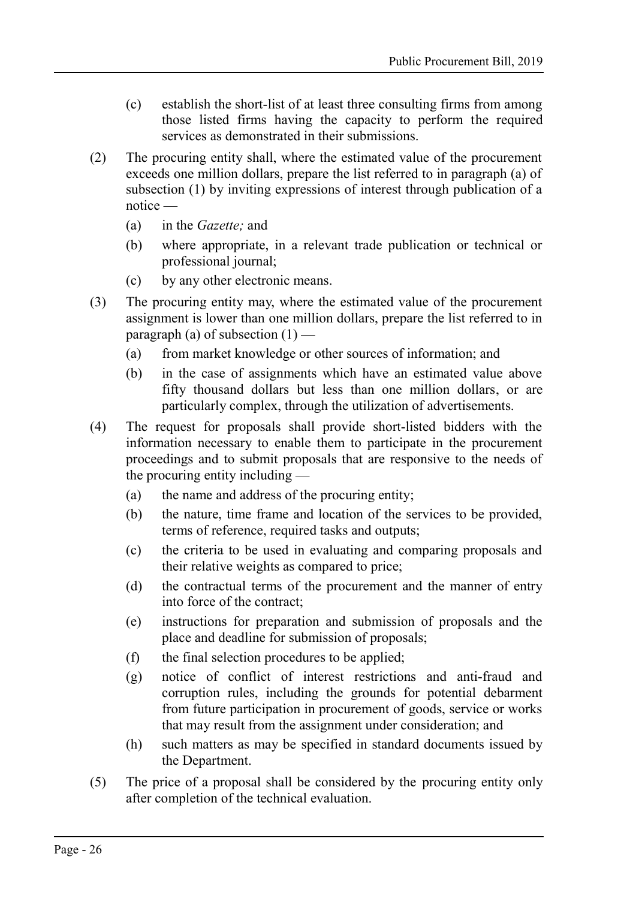- (c) establish the short-list of at least three consulting firms from among those listed firms having the capacity to perform the required services as demonstrated in their submissions.
- (2) The procuring entity shall, where the estimated value of the procurement exceeds one million dollars, prepare the list referred to in paragraph (a) of subsection (1) by inviting expressions of interest through publication of a notice —
	- (a) in the *Gazette;* and
	- (b) where appropriate, in a relevant trade publication or technical or professional journal;
	- (c) by any other electronic means.
- (3) The procuring entity may, where the estimated value of the procurement assignment is lower than one million dollars, prepare the list referred to in paragraph (a) of subsection  $(1)$  —
	- (a) from market knowledge or other sources of information; and
	- (b) in the case of assignments which have an estimated value above fifty thousand dollars but less than one million dollars, or are particularly complex, through the utilization of advertisements.
- (4) The request for proposals shall provide short-listed bidders with the information necessary to enable them to participate in the procurement proceedings and to submit proposals that are responsive to the needs of the procuring entity including —
	- (a) the name and address of the procuring entity;
	- (b) the nature, time frame and location of the services to be provided, terms of reference, required tasks and outputs;
	- (c) the criteria to be used in evaluating and comparing proposals and their relative weights as compared to price;
	- (d) the contractual terms of the procurement and the manner of entry into force of the contract;
	- (e) instructions for preparation and submission of proposals and the place and deadline for submission of proposals;
	- (f) the final selection procedures to be applied;
	- (g) notice of conflict of interest restrictions and anti-fraud and corruption rules, including the grounds for potential debarment from future participation in procurement of goods, service or works that may result from the assignment under consideration; and
	- (h) such matters as may be specified in standard documents issued by the Department.
- (5) The price of a proposal shall be considered by the procuring entity only after completion of the technical evaluation.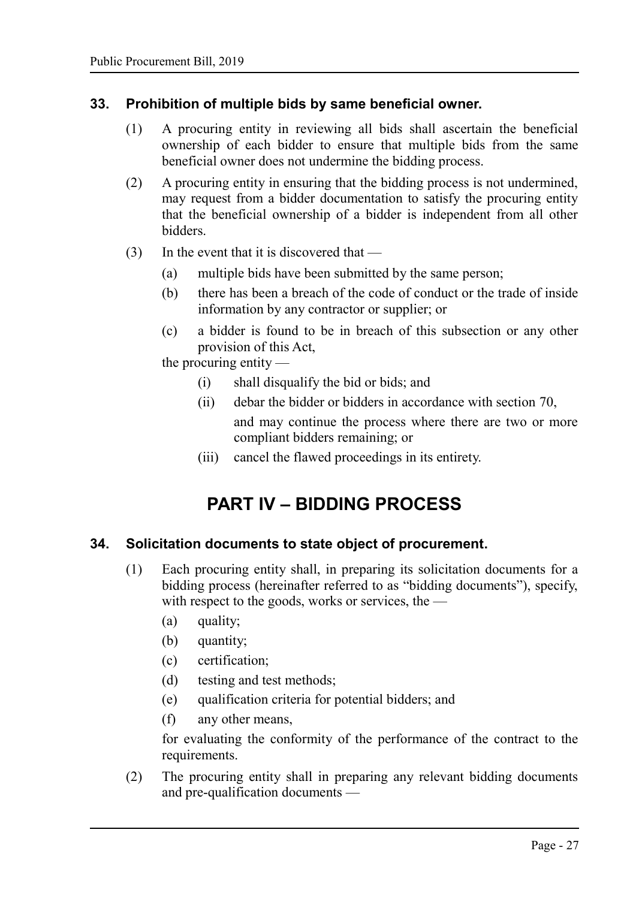#### **33. Prohibition of multiple bids by same beneficial owner.**

- <span id="page-26-2"></span>(1) A procuring entity in reviewing all bids shall ascertain the beneficial ownership of each bidder to ensure that multiple bids from the same beneficial owner does not undermine the bidding process.
- (2) A procuring entity in ensuring that the bidding process is not undermined, may request from a bidder documentation to satisfy the procuring entity that the beneficial ownership of a bidder is independent from all other bidders.
- (3) In the event that it is discovered that
	- (a) multiple bids have been submitted by the same person;
	- (b) there has been a breach of the code of conduct or the trade of inside information by any contractor or supplier; or
	- (c) a bidder is found to be in breach of this subsection or any other provision of this Act,

the procuring entity —

- (i) shall disqualify the bid or bids; and
- (ii) debar the bidder or bidders in accordance with section [70,](#page-51-0) and may continue the process where there are two or more compliant bidders remaining; or
- (iii) cancel the flawed proceedings in its entirety.

## <span id="page-26-1"></span>**PART IV – BIDDING PROCESS**

#### **34. Solicitation documents to state object of procurement.**

- <span id="page-26-0"></span>(1) Each procuring entity shall, in preparing its solicitation documents for a bidding process (hereinafter referred to as "bidding documents"), specify, with respect to the goods, works or services, the —
	- (a) quality;
	- (b) quantity;
	- (c) certification;
	- (d) testing and test methods;
	- (e) qualification criteria for potential bidders; and
	- (f) any other means,

for evaluating the conformity of the performance of the contract to the requirements.

(2) The procuring entity shall in preparing any relevant bidding documents and pre-qualification documents —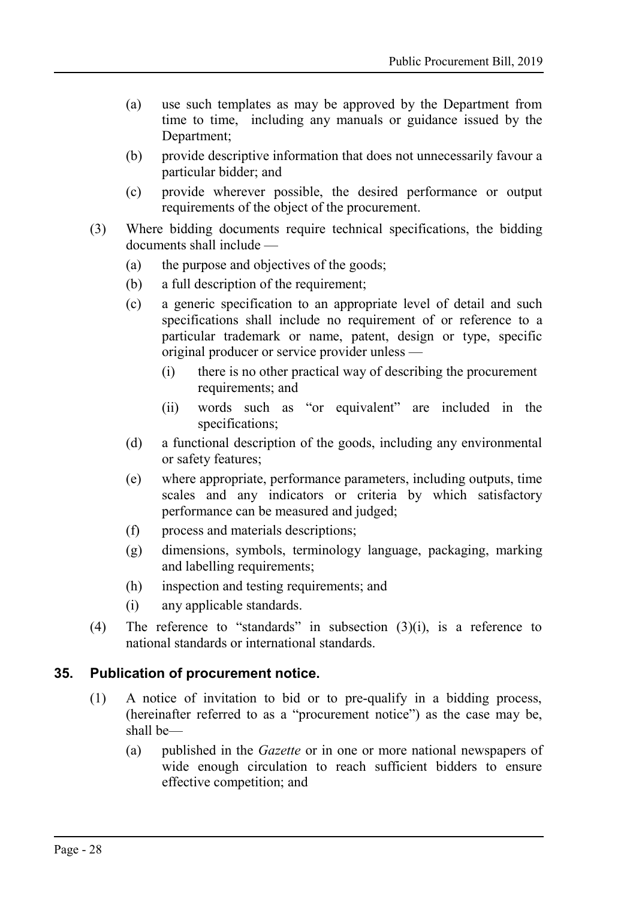- (a) use such templates as may be approved by the Department from time to time, including any manuals or guidance issued by the Department;
- (b) provide descriptive information that does not unnecessarily favour a particular bidder; and
- (c) provide wherever possible, the desired performance or output requirements of the object of the procurement.
- (3) Where bidding documents require technical specifications, the bidding documents shall include —
	- (a) the purpose and objectives of the goods;
	- (b) a full description of the requirement;
	- (c) a generic specification to an appropriate level of detail and such specifications shall include no requirement of or reference to a particular trademark or name, patent, design or type, specific original producer or service provider unless —
		- (i) there is no other practical way of describing the procurement requirements; and
		- (ii) words such as "or equivalent" are included in the specifications:
	- (d) a functional description of the goods, including any environmental or safety features;
	- (e) where appropriate, performance parameters, including outputs, time scales and any indicators or criteria by which satisfactory performance can be measured and judged;
	- (f) process and materials descriptions;
	- (g) dimensions, symbols, terminology language, packaging, marking and labelling requirements;
	- (h) inspection and testing requirements; and
	- (i) any applicable standards.
- (4) The reference to "standards" in subsection (3)(i), is a reference to national standards or international standards.

#### **35. Publication of procurement notice.**

- <span id="page-27-0"></span>(1) A notice of invitation to bid or to pre-qualify in a bidding process, (hereinafter referred to as a "procurement notice") as the case may be, shall be—
	- (a) published in the *Gazette* or in one or more national newspapers of wide enough circulation to reach sufficient bidders to ensure effective competition; and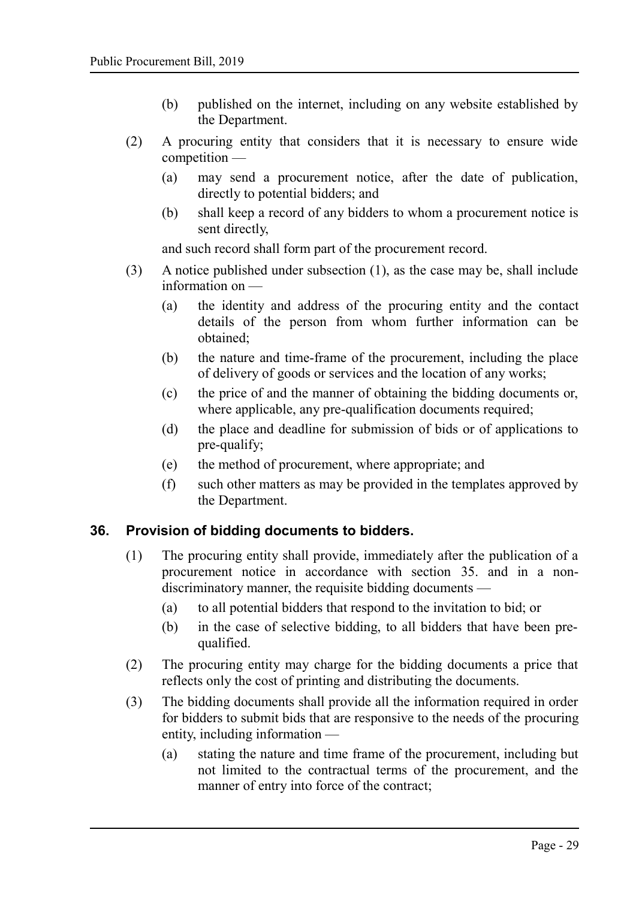- (b) published on the internet, including on any website established by the Department.
- (2) A procuring entity that considers that it is necessary to ensure wide competition —
	- (a) may send a procurement notice, after the date of publication, directly to potential bidders; and
	- (b) shall keep a record of any bidders to whom a procurement notice is sent directly,

and such record shall form part of the procurement record.

- (3) A notice published under subsection (1), as the case may be, shall include information on —
	- (a) the identity and address of the procuring entity and the contact details of the person from whom further information can be obtained;
	- (b) the nature and time-frame of the procurement, including the place of delivery of goods or services and the location of any works;
	- (c) the price of and the manner of obtaining the bidding documents or, where applicable, any pre-qualification documents required;
	- (d) the place and deadline for submission of bids or of applications to pre-qualify;
	- (e) the method of procurement, where appropriate; and
	- (f) such other matters as may be provided in the templates approved by the Department.

## **36. Provision of bidding documents to bidders.**

- <span id="page-28-0"></span>(1) The procuring entity shall provide, immediately after the publication of a procurement notice in accordance with section [35.](#page-27-0) and in a nondiscriminatory manner, the requisite bidding documents —
	- (a) to all potential bidders that respond to the invitation to bid; or
	- (b) in the case of selective bidding, to all bidders that have been prequalified.
- (2) The procuring entity may charge for the bidding documents a price that reflects only the cost of printing and distributing the documents.
- (3) The bidding documents shall provide all the information required in order for bidders to submit bids that are responsive to the needs of the procuring entity, including information —
	- (a) stating the nature and time frame of the procurement, including but not limited to the contractual terms of the procurement, and the manner of entry into force of the contract;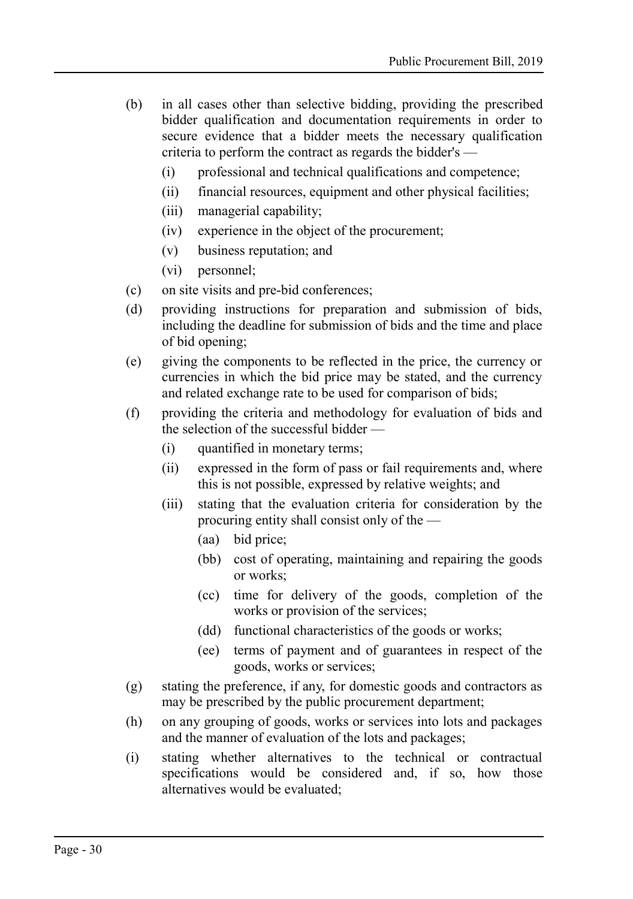- (b) in all cases other than selective bidding, providing the prescribed bidder qualification and documentation requirements in order to secure evidence that a bidder meets the necessary qualification criteria to perform the contract as regards the bidder's —
	- (i) professional and technical qualifications and competence;
	- (ii) financial resources, equipment and other physical facilities;
	- (iii) managerial capability;
	- (iv) experience in the object of the procurement;
	- (v) business reputation; and
	- (vi) personnel;
- (c) on site visits and pre-bid conferences;
- (d) providing instructions for preparation and submission of bids, including the deadline for submission of bids and the time and place of bid opening;
- (e) giving the components to be reflected in the price, the currency or currencies in which the bid price may be stated, and the currency and related exchange rate to be used for comparison of bids;
- (f) providing the criteria and methodology for evaluation of bids and the selection of the successful bidder —
	- (i) quantified in monetary terms;
	- (ii) expressed in the form of pass or fail requirements and, where this is not possible, expressed by relative weights; and
	- (iii) stating that the evaluation criteria for consideration by the procuring entity shall consist only of the —
		- (aa) bid price;
		- (bb) cost of operating, maintaining and repairing the goods or works;
		- (cc) time for delivery of the goods, completion of the works or provision of the services;
		- (dd) functional characteristics of the goods or works;
		- (ee) terms of payment and of guarantees in respect of the goods, works or services;
- (g) stating the preference, if any, for domestic goods and contractors as may be prescribed by the public procurement department;
- (h) on any grouping of goods, works or services into lots and packages and the manner of evaluation of the lots and packages;
- (i) stating whether alternatives to the technical or contractual specifications would be considered and, if so, how those alternatives would be evaluated;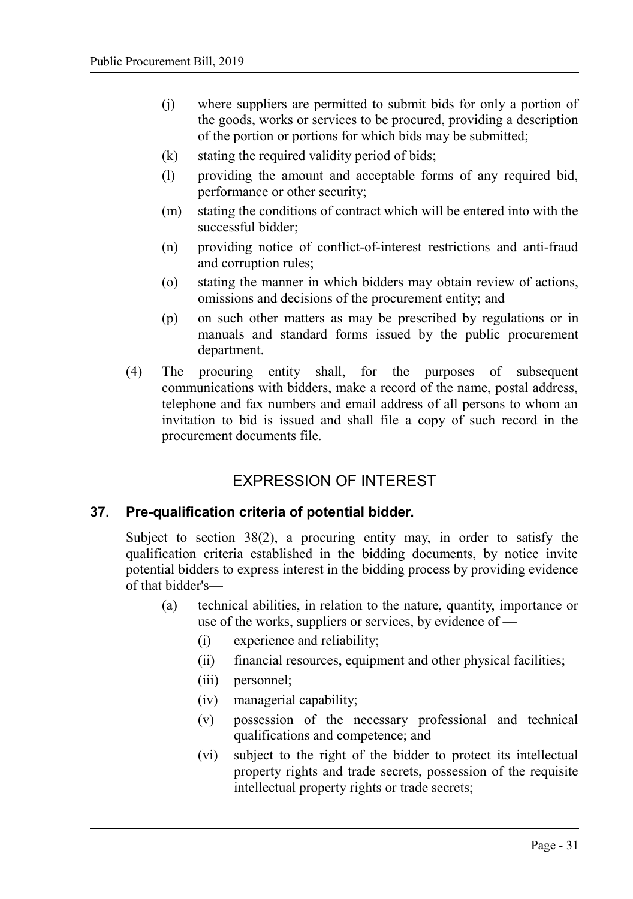- (j) where suppliers are permitted to submit bids for only a portion of the goods, works or services to be procured, providing a description of the portion or portions for which bids may be submitted;
- (k) stating the required validity period of bids;
- (l) providing the amount and acceptable forms of any required bid, performance or other security;
- (m) stating the conditions of contract which will be entered into with the successful bidder;
- (n) providing notice of conflict-of-interest restrictions and anti-fraud and corruption rules;
- (o) stating the manner in which bidders may obtain review of actions, omissions and decisions of the procurement entity; and
- (p) on such other matters as may be prescribed by regulations or in manuals and standard forms issued by the public procurement department.
- (4) The procuring entity shall, for the purposes of subsequent communications with bidders, make a record of the name, postal address, telephone and fax numbers and email address of all persons to whom an invitation to bid is issued and shall file a copy of such record in the procurement documents file.

## <span id="page-30-1"></span>EXPRESSION OF INTEREST

#### **37. Pre-qualification criteria of potential bidder.**

<span id="page-30-0"></span>Subject to section [38\(](#page-31-0)2), a procuring entity may, in order to satisfy the qualification criteria established in the bidding documents, by notice invite potential bidders to express interest in the bidding process by providing evidence of that bidder's—

- (a) technical abilities, in relation to the nature, quantity, importance or use of the works, suppliers or services, by evidence of —
	- (i) experience and reliability;
	- (ii) financial resources, equipment and other physical facilities;
	- (iii) personnel;
	- (iv) managerial capability;
	- (v) possession of the necessary professional and technical qualifications and competence; and
	- (vi) subject to the right of the bidder to protect its intellectual property rights and trade secrets, possession of the requisite intellectual property rights or trade secrets;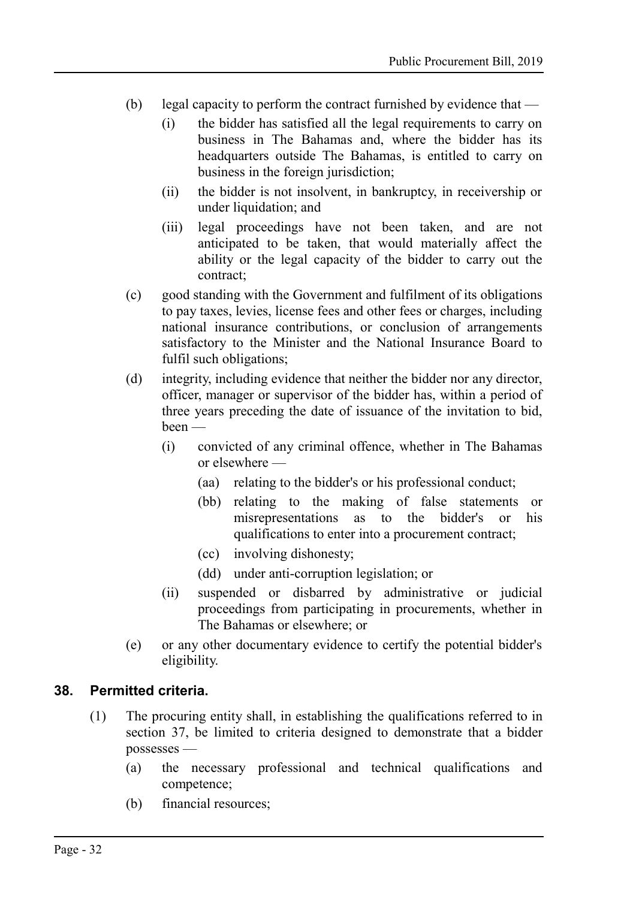- (b) legal capacity to perform the contract furnished by evidence that
	- (i) the bidder has satisfied all the legal requirements to carry on business in The Bahamas and, where the bidder has its headquarters outside The Bahamas, is entitled to carry on business in the foreign jurisdiction;
	- (ii) the bidder is not insolvent, in bankruptcy, in receivership or under liquidation; and
	- (iii) legal proceedings have not been taken, and are not anticipated to be taken, that would materially affect the ability or the legal capacity of the bidder to carry out the contract;
- (c) good standing with the Government and fulfilment of its obligations to pay taxes, levies, license fees and other fees or charges, including national insurance contributions, or conclusion of arrangements satisfactory to the Minister and the National Insurance Board to fulfil such obligations;
- (d) integrity, including evidence that neither the bidder nor any director, officer, manager or supervisor of the bidder has, within a period of three years preceding the date of issuance of the invitation to bid, been —
	- (i) convicted of any criminal offence, whether in The Bahamas or elsewhere —
		- (aa) relating to the bidder's or his professional conduct;
		- (bb) relating to the making of false statements or misrepresentations as to the bidder's or his qualifications to enter into a procurement contract;
		- (cc) involving dishonesty;
		- (dd) under anti-corruption legislation; or
	- (ii) suspended or disbarred by administrative or judicial proceedings from participating in procurements, whether in The Bahamas or elsewhere; or
- (e) or any other documentary evidence to certify the potential bidder's eligibility.

#### **38. Permitted criteria.**

- <span id="page-31-0"></span>(1) The procuring entity shall, in establishing the qualifications referred to in section [37,](#page-30-0) be limited to criteria designed to demonstrate that a bidder possesses —
	- (a) the necessary professional and technical qualifications and competence;
	- (b) financial resources;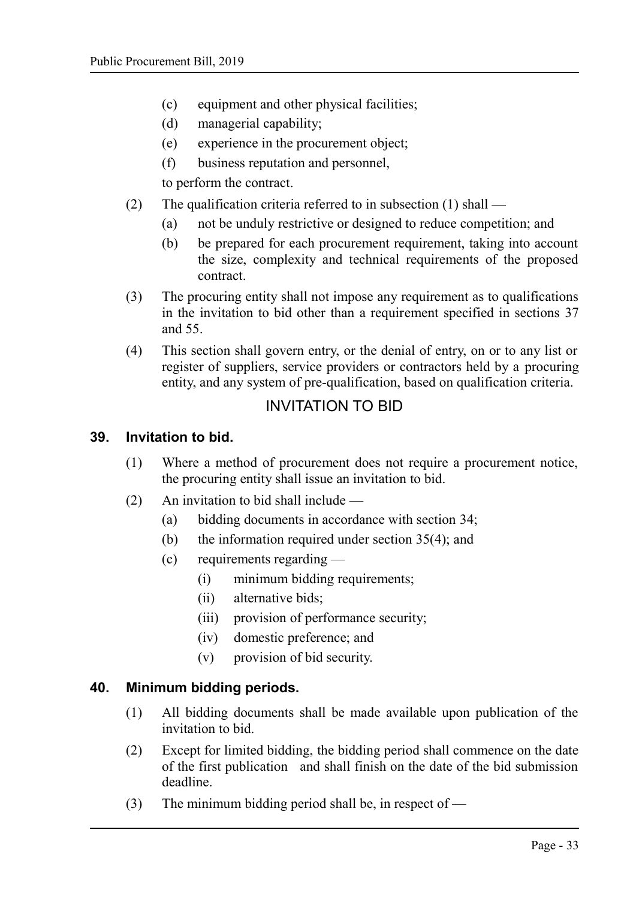- (c) equipment and other physical facilities;
- (d) managerial capability;
- (e) experience in the procurement object;
- (f) business reputation and personnel,

to perform the contract.

- (2) The qualification criteria referred to in subsection (1) shall
	- (a) not be unduly restrictive or designed to reduce competition; and
	- (b) be prepared for each procurement requirement, taking into account the size, complexity and technical requirements of the proposed contract.
- (3) The procuring entity shall not impose any requirement as to qualifications in the invitation to bid other than a requirement specified in sections [37](#page-30-0) and [55.](#page-42-0)
- (4) This section shall govern entry, or the denial of entry, on or to any list or register of suppliers, service providers or contractors held by a procuring entity, and any system of pre-qualification, based on qualification criteria.

## <span id="page-32-2"></span>INVITATION TO BID

#### **39. Invitation to bid.**

- <span id="page-32-1"></span>(1) Where a method of procurement does not require a procurement notice, the procuring entity shall issue an invitation to bid.
- (2) An invitation to bid shall include
	- (a) bidding documents in accordance with section [34;](#page-26-0)
	- (b) the information required under section [35\(](#page-27-0)4); and
	- (c) requirements regarding
		- (i) minimum bidding requirements;
		- (ii) alternative bids;
		- (iii) provision of performance security;
		- (iv) domestic preference; and
		- (v) provision of bid security.

#### **40. Minimum bidding periods.**

- <span id="page-32-0"></span>(1) All bidding documents shall be made available upon publication of the invitation to bid.
- (2) Except for limited bidding, the bidding period shall commence on the date of the first publication and shall finish on the date of the bid submission deadline.
- (3) The minimum bidding period shall be, in respect of  $-$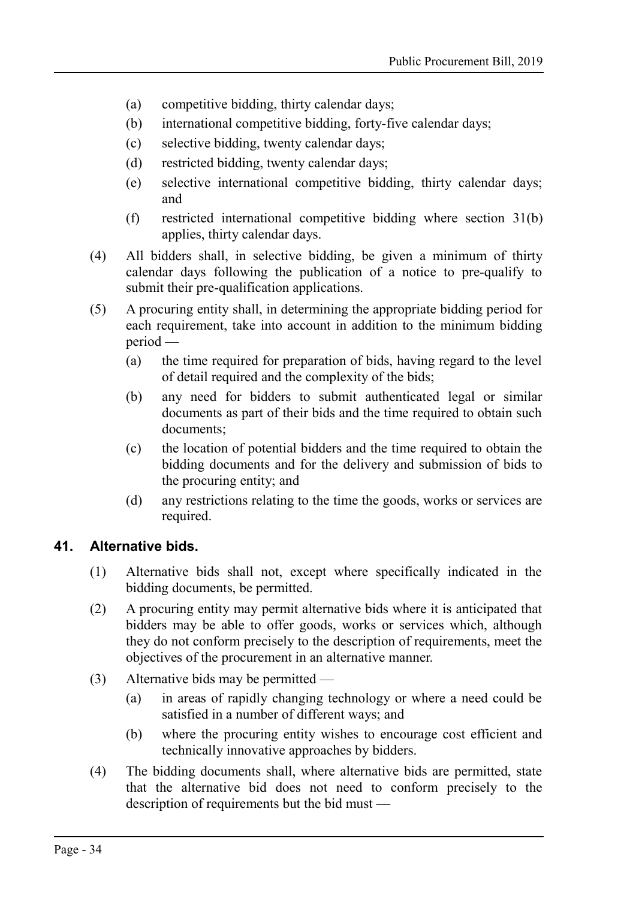- (a) competitive bidding, thirty calendar days;
- (b) international competitive bidding, forty-five calendar days;
- (c) selective bidding, twenty calendar days;
- (d) restricted bidding, twenty calendar days;
- (e) selective international competitive bidding, thirty calendar days; and
- (f) restricted international competitive bidding where section [31\(](#page-24-1)b) applies, thirty calendar days.
- (4) All bidders shall, in selective bidding, be given a minimum of thirty calendar days following the publication of a notice to pre-qualify to submit their pre-qualification applications.
- (5) A procuring entity shall, in determining the appropriate bidding period for each requirement, take into account in addition to the minimum bidding period —
	- (a) the time required for preparation of bids, having regard to the level of detail required and the complexity of the bids;
	- (b) any need for bidders to submit authenticated legal or similar documents as part of their bids and the time required to obtain such documents;
	- (c) the location of potential bidders and the time required to obtain the bidding documents and for the delivery and submission of bids to the procuring entity; and
	- (d) any restrictions relating to the time the goods, works or services are required.

#### **41. Alternative bids.**

- <span id="page-33-0"></span>(1) Alternative bids shall not, except where specifically indicated in the bidding documents, be permitted.
- (2) A procuring entity may permit alternative bids where it is anticipated that bidders may be able to offer goods, works or services which, although they do not conform precisely to the description of requirements, meet the objectives of the procurement in an alternative manner.
- (3) Alternative bids may be permitted
	- (a) in areas of rapidly changing technology or where a need could be satisfied in a number of different ways; and
	- (b) where the procuring entity wishes to encourage cost efficient and technically innovative approaches by bidders.
- (4) The bidding documents shall, where alternative bids are permitted, state that the alternative bid does not need to conform precisely to the description of requirements but the bid must —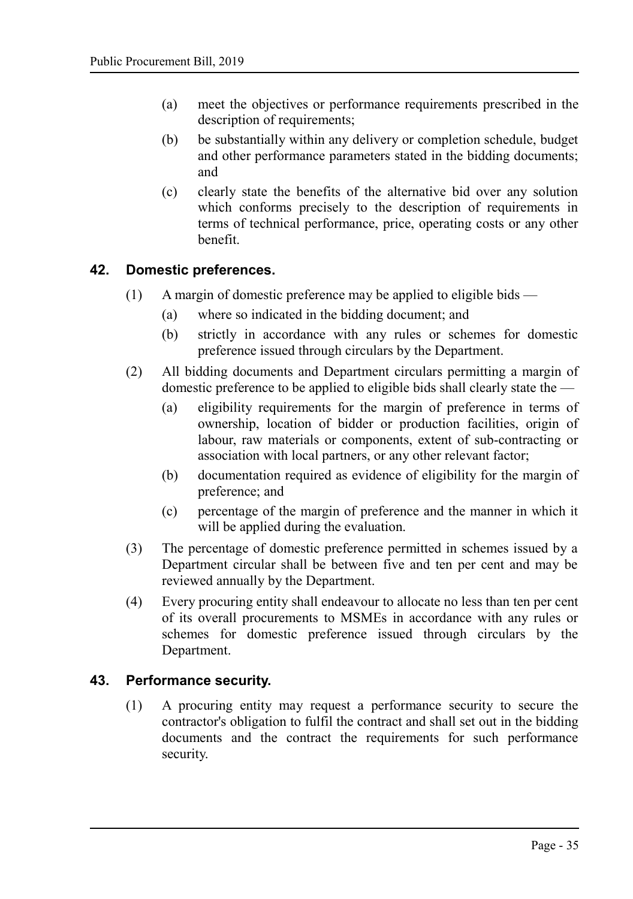- (a) meet the objectives or performance requirements prescribed in the description of requirements;
- (b) be substantially within any delivery or completion schedule, budget and other performance parameters stated in the bidding documents; and
- (c) clearly state the benefits of the alternative bid over any solution which conforms precisely to the description of requirements in terms of technical performance, price, operating costs or any other benefit.

#### **42. Domestic preferences.**

- <span id="page-34-1"></span>(1) A margin of domestic preference may be applied to eligible bids —
	- (a) where so indicated in the bidding document; and
	- (b) strictly in accordance with any rules or schemes for domestic preference issued through circulars by the Department.
- (2) All bidding documents and Department circulars permitting a margin of domestic preference to be applied to eligible bids shall clearly state the —
	- (a) eligibility requirements for the margin of preference in terms of ownership, location of bidder or production facilities, origin of labour, raw materials or components, extent of sub-contracting or association with local partners, or any other relevant factor;
	- (b) documentation required as evidence of eligibility for the margin of preference; and
	- (c) percentage of the margin of preference and the manner in which it will be applied during the evaluation.
- (3) The percentage of domestic preference permitted in schemes issued by a Department circular shall be between five and ten per cent and may be reviewed annually by the Department.
- (4) Every procuring entity shall endeavour to allocate no less than ten per cent of its overall procurements to MSMEs in accordance with any rules or schemes for domestic preference issued through circulars by the Department.

#### **43. Performance security.**

<span id="page-34-0"></span>(1) A procuring entity may request a performance security to secure the contractor's obligation to fulfil the contract and shall set out in the bidding documents and the contract the requirements for such performance security.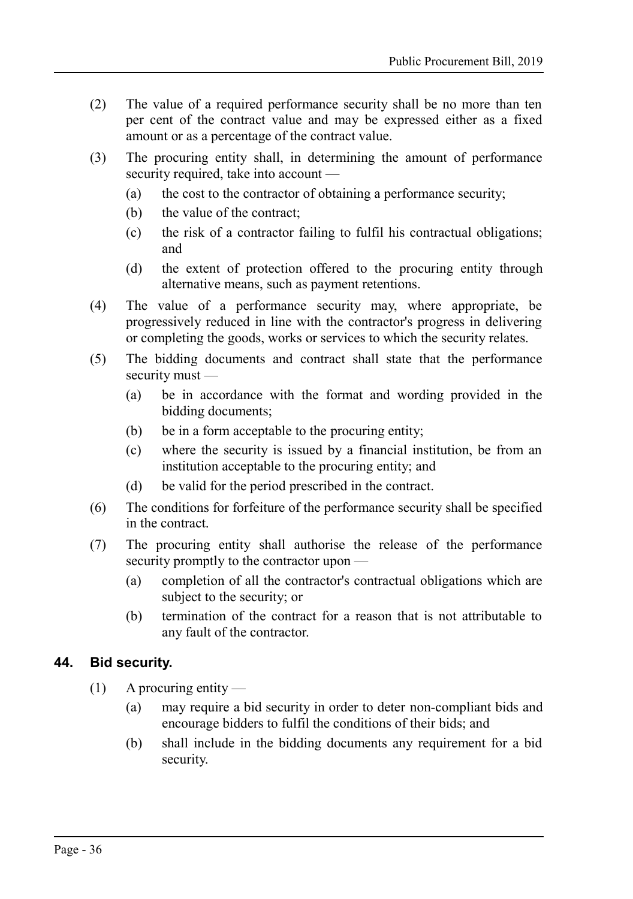- (2) The value of a required performance security shall be no more than ten per cent of the contract value and may be expressed either as a fixed amount or as a percentage of the contract value.
- (3) The procuring entity shall, in determining the amount of performance security required, take into account —
	- (a) the cost to the contractor of obtaining a performance security;
	- (b) the value of the contract;
	- (c) the risk of a contractor failing to fulfil his contractual obligations; and
	- (d) the extent of protection offered to the procuring entity through alternative means, such as payment retentions.
- (4) The value of a performance security may, where appropriate, be progressively reduced in line with the contractor's progress in delivering or completing the goods, works or services to which the security relates.
- (5) The bidding documents and contract shall state that the performance security must —
	- (a) be in accordance with the format and wording provided in the bidding documents;
	- (b) be in a form acceptable to the procuring entity;
	- (c) where the security is issued by a financial institution, be from an institution acceptable to the procuring entity; and
	- (d) be valid for the period prescribed in the contract.
- (6) The conditions for forfeiture of the performance security shall be specified in the contract.
- (7) The procuring entity shall authorise the release of the performance security promptly to the contractor upon —
	- (a) completion of all the contractor's contractual obligations which are subject to the security; or
	- (b) termination of the contract for a reason that is not attributable to any fault of the contractor.

#### **44. Bid security.**

- <span id="page-35-0"></span> $(1)$  A procuring entity —
	- (a) may require a bid security in order to deter non-compliant bids and encourage bidders to fulfil the conditions of their bids; and
	- (b) shall include in the bidding documents any requirement for a bid security.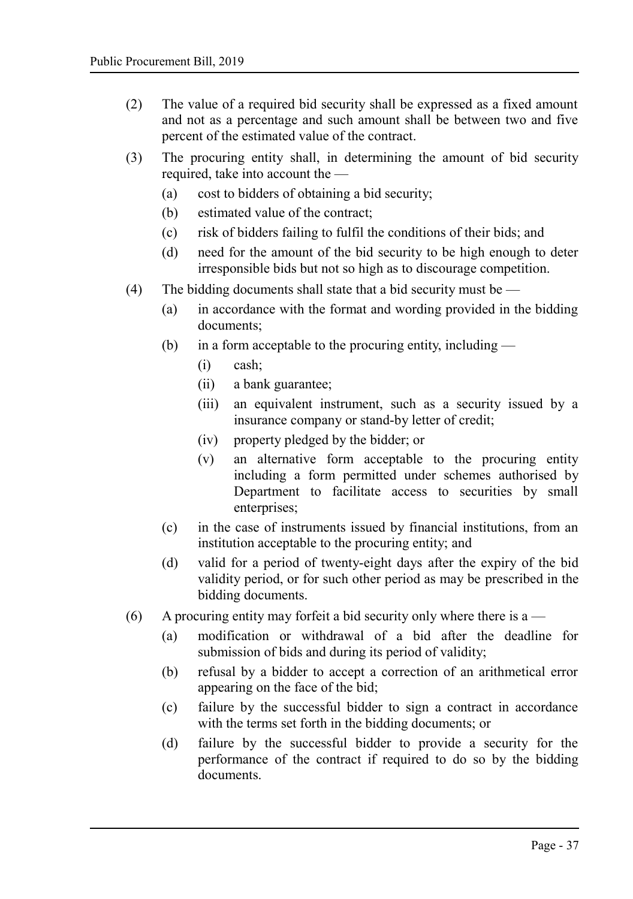- (2) The value of a required bid security shall be expressed as a fixed amount and not as a percentage and such amount shall be between two and five percent of the estimated value of the contract.
- (3) The procuring entity shall, in determining the amount of bid security required, take into account the —
	- (a) cost to bidders of obtaining a bid security;
	- (b) estimated value of the contract;
	- (c) risk of bidders failing to fulfil the conditions of their bids; and
	- (d) need for the amount of the bid security to be high enough to deter irresponsible bids but not so high as to discourage competition.
- (4) The bidding documents shall state that a bid security must be  $-$ 
	- (a) in accordance with the format and wording provided in the bidding documents;
	- (b) in a form acceptable to the procuring entity, including  $-$ 
		- (i) cash;
		- (ii) a bank guarantee;
		- (iii) an equivalent instrument, such as a security issued by a insurance company or stand-by letter of credit;
		- (iv) property pledged by the bidder; or
		- (v) an alternative form acceptable to the procuring entity including a form permitted under schemes authorised by Department to facilitate access to securities by small enterprises;
	- (c) in the case of instruments issued by financial institutions, from an institution acceptable to the procuring entity; and
	- (d) valid for a period of twenty-eight days after the expiry of the bid validity period, or for such other period as may be prescribed in the bidding documents.
- (6) A procuring entity may forfeit a bid security only where there is a
	- (a) modification or withdrawal of a bid after the deadline for submission of bids and during its period of validity;
	- (b) refusal by a bidder to accept a correction of an arithmetical error appearing on the face of the bid;
	- (c) failure by the successful bidder to sign a contract in accordance with the terms set forth in the bidding documents; or
	- (d) failure by the successful bidder to provide a security for the performance of the contract if required to do so by the bidding documents.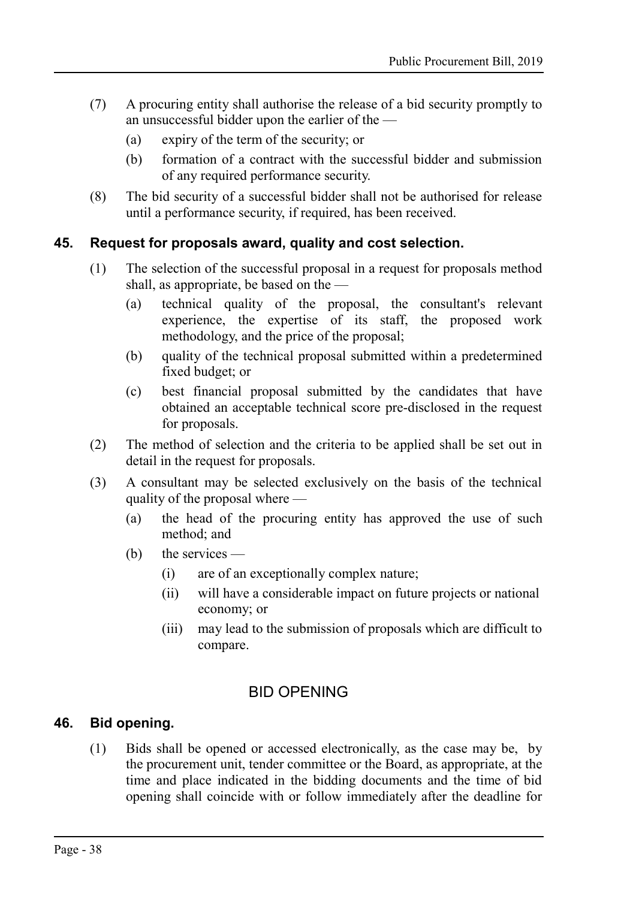- (7) A procuring entity shall authorise the release of a bid security promptly to an unsuccessful bidder upon the earlier of the —
	- (a) expiry of the term of the security; or
	- (b) formation of a contract with the successful bidder and submission of any required performance security.
- (8) The bid security of a successful bidder shall not be authorised for release until a performance security, if required, has been received.

#### **45. Request for proposals award, quality and cost selection.**

- <span id="page-37-2"></span>(1) The selection of the successful proposal in a request for proposals method shall, as appropriate, be based on the —
	- (a) technical quality of the proposal, the consultant's relevant experience, the expertise of its staff, the proposed work methodology, and the price of the proposal;
	- (b) quality of the technical proposal submitted within a predetermined fixed budget; or
	- (c) best financial proposal submitted by the candidates that have obtained an acceptable technical score pre-disclosed in the request for proposals.
- (2) The method of selection and the criteria to be applied shall be set out in detail in the request for proposals.
- (3) A consultant may be selected exclusively on the basis of the technical quality of the proposal where —
	- (a) the head of the procuring entity has approved the use of such method; and
	- (b) the services
		- (i) are of an exceptionally complex nature;
		- (ii) will have a considerable impact on future projects or national economy; or
		- (iii) may lead to the submission of proposals which are difficult to compare.

## <span id="page-37-1"></span>BID OPENING

## **46. Bid opening.**

<span id="page-37-0"></span>(1) Bids shall be opened or accessed electronically, as the case may be, by the procurement unit, tender committee or the Board, as appropriate, at the time and place indicated in the bidding documents and the time of bid opening shall coincide with or follow immediately after the deadline for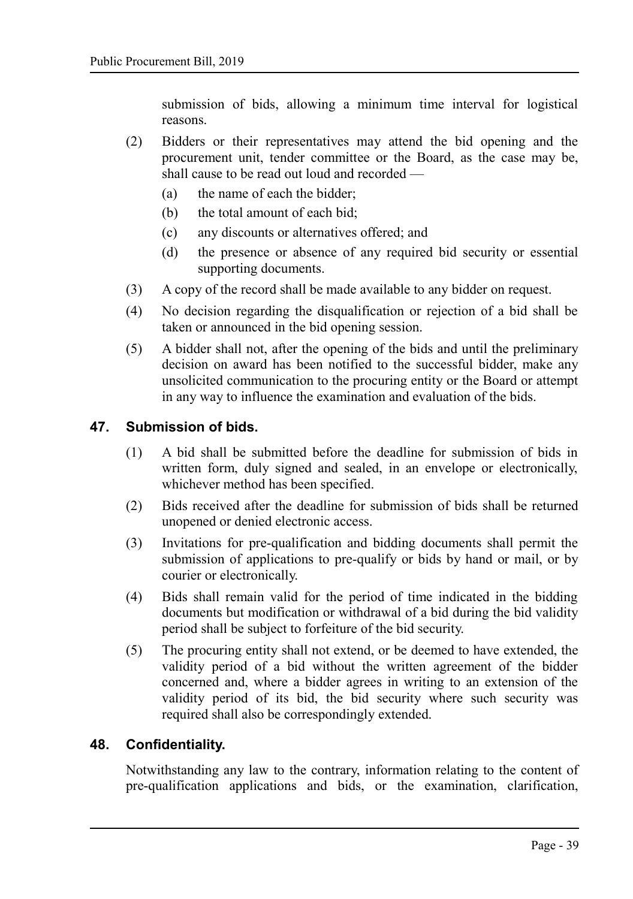submission of bids, allowing a minimum time interval for logistical reasons.

- (2) Bidders or their representatives may attend the bid opening and the procurement unit, tender committee or the Board, as the case may be, shall cause to be read out loud and recorded —
	- (a) the name of each the bidder;
	- (b) the total amount of each bid;
	- (c) any discounts or alternatives offered; and
	- (d) the presence or absence of any required bid security or essential supporting documents.
- (3) A copy of the record shall be made available to any bidder on request.
- (4) No decision regarding the disqualification or rejection of a bid shall be taken or announced in the bid opening session.
- (5) A bidder shall not, after the opening of the bids and until the preliminary decision on award has been notified to the successful bidder, make any unsolicited communication to the procuring entity or the Board or attempt in any way to influence the examination and evaluation of the bids.

#### **47. Submission of bids.**

- <span id="page-38-1"></span>(1) A bid shall be submitted before the deadline for submission of bids in written form, duly signed and sealed, in an envelope or electronically, whichever method has been specified.
- (2) Bids received after the deadline for submission of bids shall be returned unopened or denied electronic access.
- (3) Invitations for pre-qualification and bidding documents shall permit the submission of applications to pre-qualify or bids by hand or mail, or by courier or electronically.
- (4) Bids shall remain valid for the period of time indicated in the bidding documents but modification or withdrawal of a bid during the bid validity period shall be subject to forfeiture of the bid security.
- (5) The procuring entity shall not extend, or be deemed to have extended, the validity period of a bid without the written agreement of the bidder concerned and, where a bidder agrees in writing to an extension of the validity period of its bid, the bid security where such security was required shall also be correspondingly extended.

#### **48. Confidentiality.**

<span id="page-38-0"></span>Notwithstanding any law to the contrary, information relating to the content of pre-qualification applications and bids, or the examination, clarification,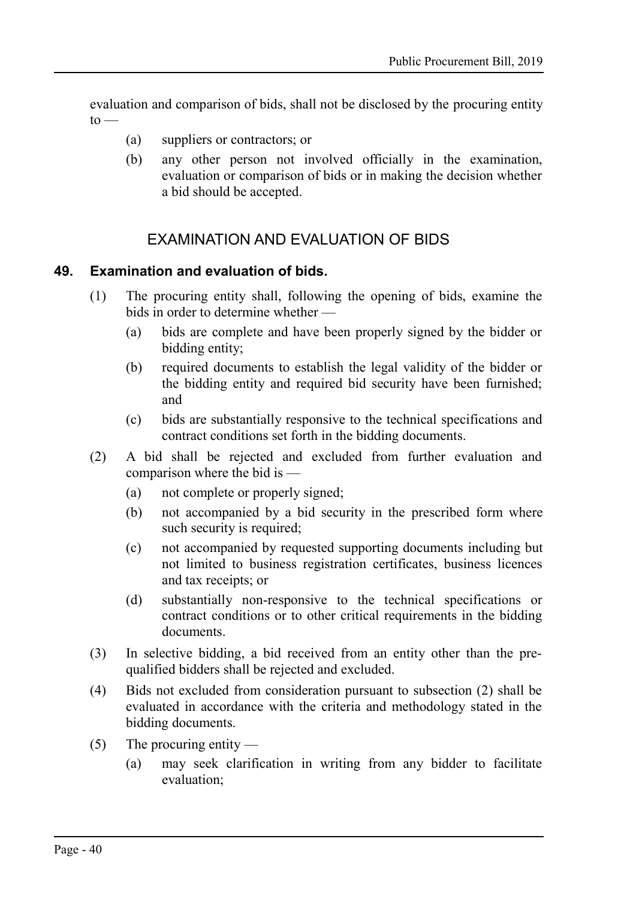evaluation and comparison of bids, shall not be disclosed by the procuring entity  $to -$ 

- (a) suppliers or contractors; or
- (b) any other person not involved officially in the examination, evaluation or comparison of bids or in making the decision whether a bid should be accepted.

## <span id="page-39-1"></span>EXAMINATION AND EVALUATION OF BIDS

#### **49. Examination and evaluation of bids.**

- <span id="page-39-0"></span>(1) The procuring entity shall, following the opening of bids, examine the bids in order to determine whether —
	- (a) bids are complete and have been properly signed by the bidder or bidding entity;
	- (b) required documents to establish the legal validity of the bidder or the bidding entity and required bid security have been furnished; and
	- (c) bids are substantially responsive to the technical specifications and contract conditions set forth in the bidding documents.
- (2) A bid shall be rejected and excluded from further evaluation and comparison where the bid is —
	- (a) not complete or properly signed;
	- (b) not accompanied by a bid security in the prescribed form where such security is required;
	- (c) not accompanied by requested supporting documents including but not limited to business registration certificates, business licences and tax receipts; or
	- (d) substantially non-responsive to the technical specifications or contract conditions or to other critical requirements in the bidding documents.
- (3) In selective bidding, a bid received from an entity other than the prequalified bidders shall be rejected and excluded.
- (4) Bids not excluded from consideration pursuant to subsection (2) shall be evaluated in accordance with the criteria and methodology stated in the bidding documents.
- (5) The procuring entity
	- (a) may seek clarification in writing from any bidder to facilitate evaluation;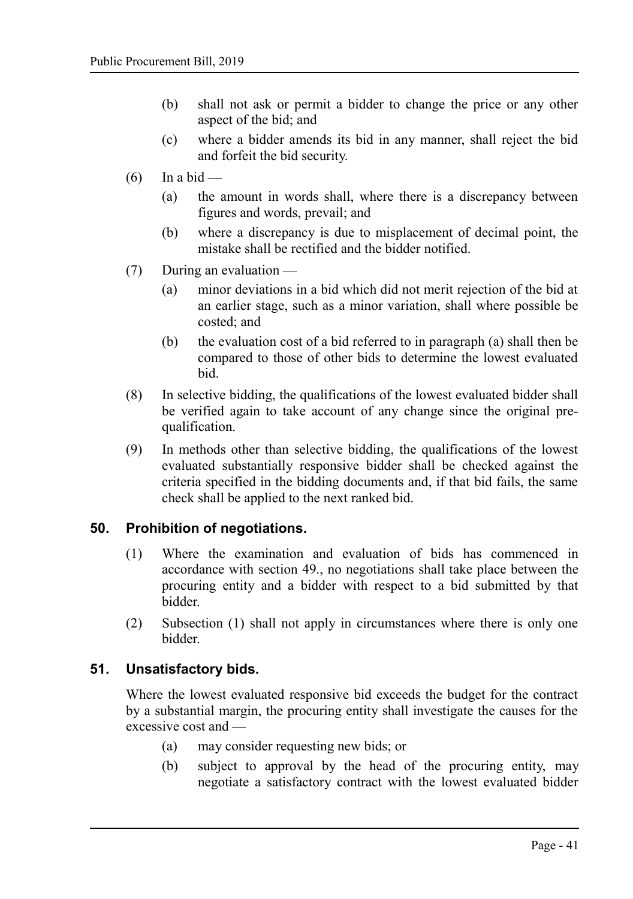- (b) shall not ask or permit a bidder to change the price or any other aspect of the bid; and
- (c) where a bidder amends its bid in any manner, shall reject the bid and forfeit the bid security.
- $(6)$  In a bid
	- (a) the amount in words shall, where there is a discrepancy between figures and words, prevail; and
	- (b) where a discrepancy is due to misplacement of decimal point, the mistake shall be rectified and the bidder notified.
- $(7)$  During an evaluation
	- (a) minor deviations in a bid which did not merit rejection of the bid at an earlier stage, such as a minor variation, shall where possible be costed; and
	- (b) the evaluation cost of a bid referred to in paragraph (a) shall then be compared to those of other bids to determine the lowest evaluated bid.
- (8) In selective bidding, the qualifications of the lowest evaluated bidder shall be verified again to take account of any change since the original prequalification.
- (9) In methods other than selective bidding, the qualifications of the lowest evaluated substantially responsive bidder shall be checked against the criteria specified in the bidding documents and, if that bid fails, the same check shall be applied to the next ranked bid.

## **50. Prohibition of negotiations.**

- <span id="page-40-1"></span>(1) Where the examination and evaluation of bids has commenced in accordance with section [49.,](#page-39-0) no negotiations shall take place between the procuring entity and a bidder with respect to a bid submitted by that bidder.
- (2) Subsection (1) shall not apply in circumstances where there is only one bidder.

#### **51. Unsatisfactory bids.**

<span id="page-40-0"></span>Where the lowest evaluated responsive bid exceeds the budget for the contract by a substantial margin, the procuring entity shall investigate the causes for the excessive cost and —

- (a) may consider requesting new bids; or
- (b) subject to approval by the head of the procuring entity, may negotiate a satisfactory contract with the lowest evaluated bidder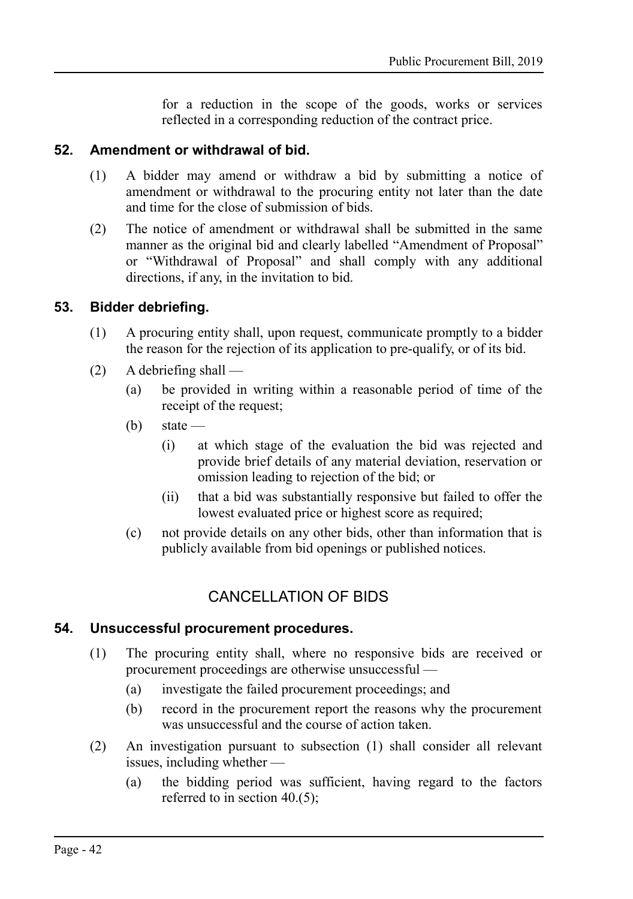for a reduction in the scope of the goods, works or services reflected in a corresponding reduction of the contract price.

#### **52. Amendment or withdrawal of bid.**

- <span id="page-41-3"></span>(1) A bidder may amend or withdraw a bid by submitting a notice of amendment or withdrawal to the procuring entity not later than the date and time for the close of submission of bids.
- (2) The notice of amendment or withdrawal shall be submitted in the same manner as the original bid and clearly labelled "Amendment of Proposal" or "Withdrawal of Proposal" and shall comply with any additional directions, if any, in the invitation to bid.

#### **53. Bidder debriefing.**

- <span id="page-41-2"></span>(1) A procuring entity shall, upon request, communicate promptly to a bidder the reason for the rejection of its application to pre-qualify, or of its bid.
- (2) A debriefing shall
	- (a) be provided in writing within a reasonable period of time of the receipt of the request;
	- $(b)$  state
		- (i) at which stage of the evaluation the bid was rejected and provide brief details of any material deviation, reservation or omission leading to rejection of the bid; or
		- (ii) that a bid was substantially responsive but failed to offer the lowest evaluated price or highest score as required;
	- (c) not provide details on any other bids, other than information that is publicly available from bid openings or published notices.

## <span id="page-41-1"></span>CANCELLATION OF BIDS

#### **54. Unsuccessful procurement procedures.**

- <span id="page-41-0"></span>(1) The procuring entity shall, where no responsive bids are received or procurement proceedings are otherwise unsuccessful —
	- (a) investigate the failed procurement proceedings; and
	- (b) record in the procurement report the reasons why the procurement was unsuccessful and the course of action taken.
- (2) An investigation pursuant to subsection (1) shall consider all relevant issues, including whether —
	- (a) the bidding period was sufficient, having regard to the factors referred to in section [40.\(](#page-32-0)5);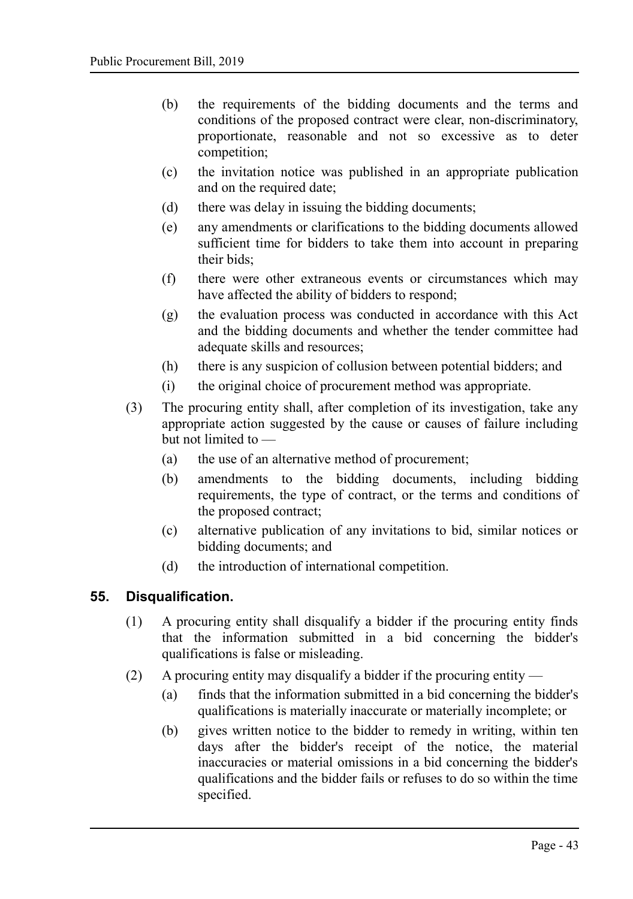- (b) the requirements of the bidding documents and the terms and conditions of the proposed contract were clear, non-discriminatory, proportionate, reasonable and not so excessive as to deter competition;
- (c) the invitation notice was published in an appropriate publication and on the required date;
- (d) there was delay in issuing the bidding documents;
- (e) any amendments or clarifications to the bidding documents allowed sufficient time for bidders to take them into account in preparing their bids;
- (f) there were other extraneous events or circumstances which may have affected the ability of bidders to respond;
- (g) the evaluation process was conducted in accordance with this Act and the bidding documents and whether the tender committee had adequate skills and resources;
- (h) there is any suspicion of collusion between potential bidders; and
- (i) the original choice of procurement method was appropriate.
- (3) The procuring entity shall, after completion of its investigation, take any appropriate action suggested by the cause or causes of failure including but not limited to —
	- (a) the use of an alternative method of procurement;
	- (b) amendments to the bidding documents, including bidding requirements, the type of contract, or the terms and conditions of the proposed contract;
	- (c) alternative publication of any invitations to bid, similar notices or bidding documents; and
	- (d) the introduction of international competition.

#### **55. Disqualification.**

- <span id="page-42-0"></span>(1) A procuring entity shall disqualify a bidder if the procuring entity finds that the information submitted in a bid concerning the bidder's qualifications is false or misleading.
- (2) A procuring entity may disqualify a bidder if the procuring entity
	- (a) finds that the information submitted in a bid concerning the bidder's qualifications is materially inaccurate or materially incomplete; or
	- (b) gives written notice to the bidder to remedy in writing, within ten days after the bidder's receipt of the notice, the material inaccuracies or material omissions in a bid concerning the bidder's qualifications and the bidder fails or refuses to do so within the time specified.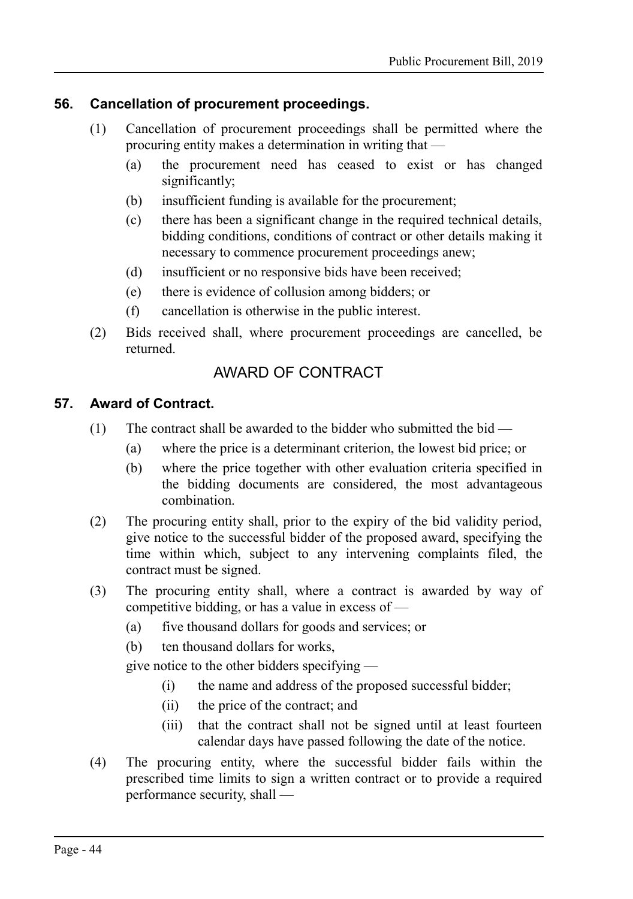#### **56. Cancellation of procurement proceedings.**

- <span id="page-43-1"></span>(1) Cancellation of procurement proceedings shall be permitted where the procuring entity makes a determination in writing that —
	- (a) the procurement need has ceased to exist or has changed significantly;
	- (b) insufficient funding is available for the procurement;
	- (c) there has been a significant change in the required technical details, bidding conditions, conditions of contract or other details making it necessary to commence procurement proceedings anew;
	- (d) insufficient or no responsive bids have been received;
	- (e) there is evidence of collusion among bidders; or
	- (f) cancellation is otherwise in the public interest.
- (2) Bids received shall, where procurement proceedings are cancelled, be returned.

## <span id="page-43-0"></span>AWARD OF CONTRACT

#### **57. Award of Contract.**

- <span id="page-43-2"></span>(1) The contract shall be awarded to the bidder who submitted the bid  $-$ 
	- (a) where the price is a determinant criterion, the lowest bid price; or
	- (b) where the price together with other evaluation criteria specified in the bidding documents are considered, the most advantageous combination.
- (2) The procuring entity shall, prior to the expiry of the bid validity period, give notice to the successful bidder of the proposed award, specifying the time within which, subject to any intervening complaints filed, the contract must be signed.
- (3) The procuring entity shall, where a contract is awarded by way of competitive bidding, or has a value in excess of —
	- (a) five thousand dollars for goods and services; or
	- (b) ten thousand dollars for works,

give notice to the other bidders specifying —

- (i) the name and address of the proposed successful bidder;
- (ii) the price of the contract; and
- (iii) that the contract shall not be signed until at least fourteen calendar days have passed following the date of the notice.
- (4) The procuring entity, where the successful bidder fails within the prescribed time limits to sign a written contract or to provide a required performance security, shall —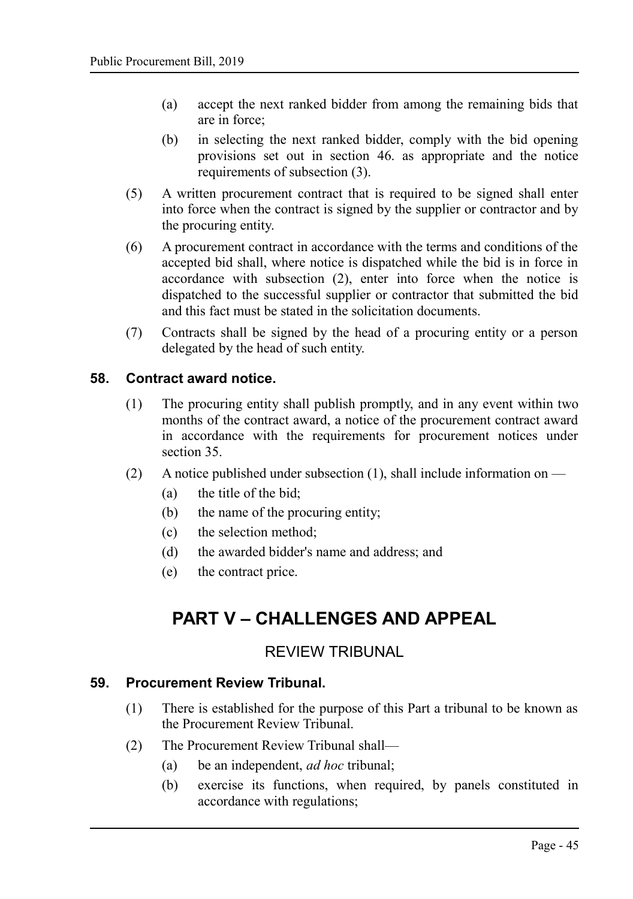- (a) accept the next ranked bidder from among the remaining bids that are in force;
- (b) in selecting the next ranked bidder, comply with the bid opening provisions set out in section [46.](#page-37-0) as appropriate and the notice requirements of subsection (3).
- (5) A written procurement contract that is required to be signed shall enter into force when the contract is signed by the supplier or contractor and by the procuring entity.
- (6) A procurement contract in accordance with the terms and conditions of the accepted bid shall, where notice is dispatched while the bid is in force in accordance with subsection (2), enter into force when the notice is dispatched to the successful supplier or contractor that submitted the bid and this fact must be stated in the solicitation documents.
- (7) Contracts shall be signed by the head of a procuring entity or a person delegated by the head of such entity.

#### **58. Contract award notice.**

- <span id="page-44-3"></span>(1) The procuring entity shall publish promptly, and in any event within two months of the contract award, a notice of the procurement contract award in accordance with the requirements for procurement notices under section [35.](#page-27-0)
- (2) A notice published under subsection (1), shall include information on  $-$ 
	- (a) the title of the bid;
	- (b) the name of the procuring entity;
	- (c) the selection method;
	- (d) the awarded bidder's name and address; and
	- (e) the contract price.

## <span id="page-44-2"></span>**PART V – CHALLENGES AND APPEAL**

#### <span id="page-44-1"></span>REVIEW TRIBUNAL

## **59. Procurement Review Tribunal.**

- <span id="page-44-0"></span>(1) There is established for the purpose of this Part a tribunal to be known as the Procurement Review Tribunal.
- (2) The Procurement Review Tribunal shall—
	- (a) be an independent, *ad hoc* tribunal;
	- (b) exercise its functions, when required, by panels constituted in accordance with regulations;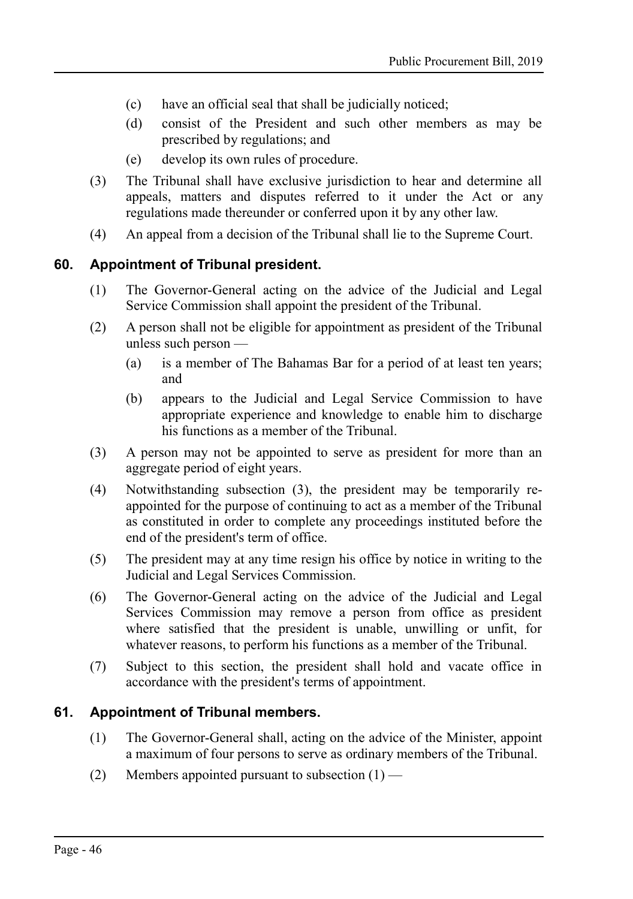- (c) have an official seal that shall be judicially noticed;
- (d) consist of the President and such other members as may be prescribed by regulations; and
- (e) develop its own rules of procedure.
- (3) The Tribunal shall have exclusive jurisdiction to hear and determine all appeals, matters and disputes referred to it under the Act or any regulations made thereunder or conferred upon it by any other law.
- (4) An appeal from a decision of the Tribunal shall lie to the Supreme Court.

#### **60. Appointment of Tribunal president.**

- <span id="page-45-1"></span>(1) The Governor-General acting on the advice of the Judicial and Legal Service Commission shall appoint the president of the Tribunal.
- (2) A person shall not be eligible for appointment as president of the Tribunal unless such person —
	- (a) is a member of The Bahamas Bar for a period of at least ten years; and
	- (b) appears to the Judicial and Legal Service Commission to have appropriate experience and knowledge to enable him to discharge his functions as a member of the Tribunal.
- (3) A person may not be appointed to serve as president for more than an aggregate period of eight years.
- (4) Notwithstanding subsection (3), the president may be temporarily reappointed for the purpose of continuing to act as a member of the Tribunal as constituted in order to complete any proceedings instituted before the end of the president's term of office.
- (5) The president may at any time resign his office by notice in writing to the Judicial and Legal Services Commission.
- (6) The Governor-General acting on the advice of the Judicial and Legal Services Commission may remove a person from office as president where satisfied that the president is unable, unwilling or unfit, for whatever reasons, to perform his functions as a member of the Tribunal.
- (7) Subject to this section, the president shall hold and vacate office in accordance with the president's terms of appointment.

#### **61. Appointment of Tribunal members.**

- <span id="page-45-0"></span>(1) The Governor-General shall, acting on the advice of the Minister, appoint a maximum of four persons to serve as ordinary members of the Tribunal.
- (2) Members appointed pursuant to subsection  $(1)$  —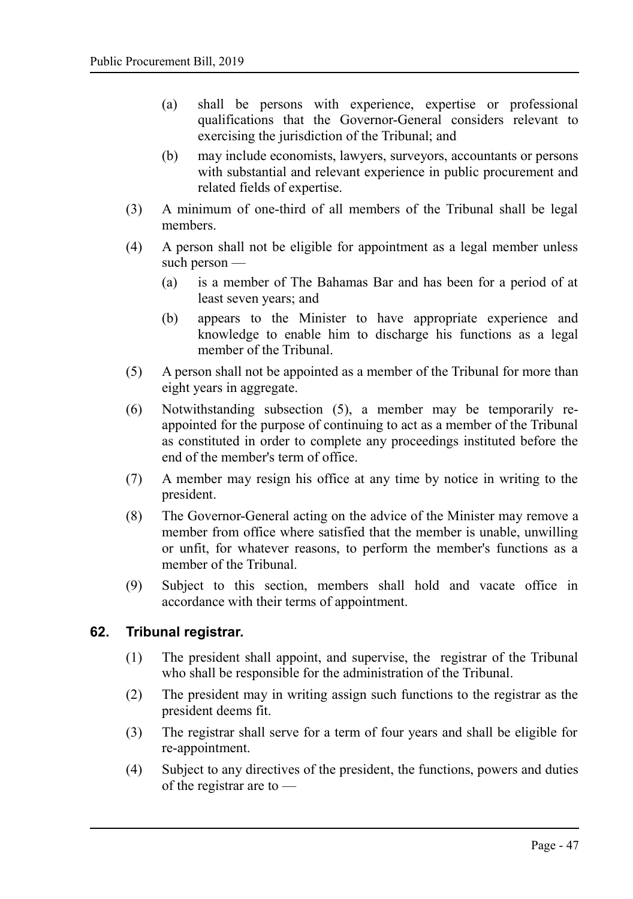- (a) shall be persons with experience, expertise or professional qualifications that the Governor-General considers relevant to exercising the jurisdiction of the Tribunal; and
- (b) may include economists, lawyers, surveyors, accountants or persons with substantial and relevant experience in public procurement and related fields of expertise.
- (3) A minimum of one-third of all members of the Tribunal shall be legal members.
- (4) A person shall not be eligible for appointment as a legal member unless such person —
	- (a) is a member of The Bahamas Bar and has been for a period of at least seven years; and
	- (b) appears to the Minister to have appropriate experience and knowledge to enable him to discharge his functions as a legal member of the Tribunal.
- (5) A person shall not be appointed as a member of the Tribunal for more than eight years in aggregate.
- (6) Notwithstanding subsection (5), a member may be temporarily reappointed for the purpose of continuing to act as a member of the Tribunal as constituted in order to complete any proceedings instituted before the end of the member's term of office.
- (7) A member may resign his office at any time by notice in writing to the president.
- (8) The Governor-General acting on the advice of the Minister may remove a member from office where satisfied that the member is unable, unwilling or unfit, for whatever reasons, to perform the member's functions as a member of the Tribunal.
- (9) Subject to this section, members shall hold and vacate office in accordance with their terms of appointment.

#### **62. Tribunal registrar.**

- <span id="page-46-0"></span>(1) The president shall appoint, and supervise, the registrar of the Tribunal who shall be responsible for the administration of the Tribunal.
- (2) The president may in writing assign such functions to the registrar as the president deems fit.
- (3) The registrar shall serve for a term of four years and shall be eligible for re-appointment.
- (4) Subject to any directives of the president, the functions, powers and duties of the registrar are to —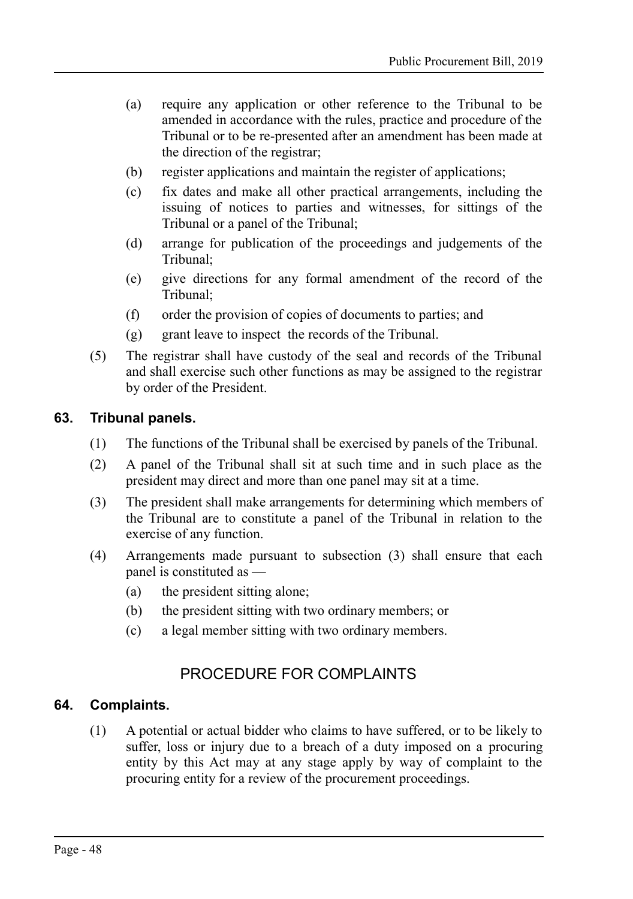- (a) require any application or other reference to the Tribunal to be amended in accordance with the rules, practice and procedure of the Tribunal or to be re-presented after an amendment has been made at the direction of the registrar;
- (b) register applications and maintain the register of applications;
- (c) fix dates and make all other practical arrangements, including the issuing of notices to parties and witnesses, for sittings of the Tribunal or a panel of the Tribunal;
- (d) arrange for publication of the proceedings and judgements of the Tribunal;
- (e) give directions for any formal amendment of the record of the Tribunal;
- (f) order the provision of copies of documents to parties; and
- (g) grant leave to inspect the records of the Tribunal.
- (5) The registrar shall have custody of the seal and records of the Tribunal and shall exercise such other functions as may be assigned to the registrar by order of the President.

#### **63. Tribunal panels.**

- <span id="page-47-2"></span>(1) The functions of the Tribunal shall be exercised by panels of the Tribunal.
- (2) A panel of the Tribunal shall sit at such time and in such place as the president may direct and more than one panel may sit at a time.
- (3) The president shall make arrangements for determining which members of the Tribunal are to constitute a panel of the Tribunal in relation to the exercise of any function.
- (4) Arrangements made pursuant to subsection (3) shall ensure that each panel is constituted as —
	- (a) the president sitting alone;
	- (b) the president sitting with two ordinary members; or
	- (c) a legal member sitting with two ordinary members.

## <span id="page-47-1"></span>PROCEDURE FOR COMPLAINTS

#### **64. Complaints.**

<span id="page-47-0"></span>(1) A potential or actual bidder who claims to have suffered, or to be likely to suffer, loss or injury due to a breach of a duty imposed on a procuring entity by this Act may at any stage apply by way of complaint to the procuring entity for a review of the procurement proceedings.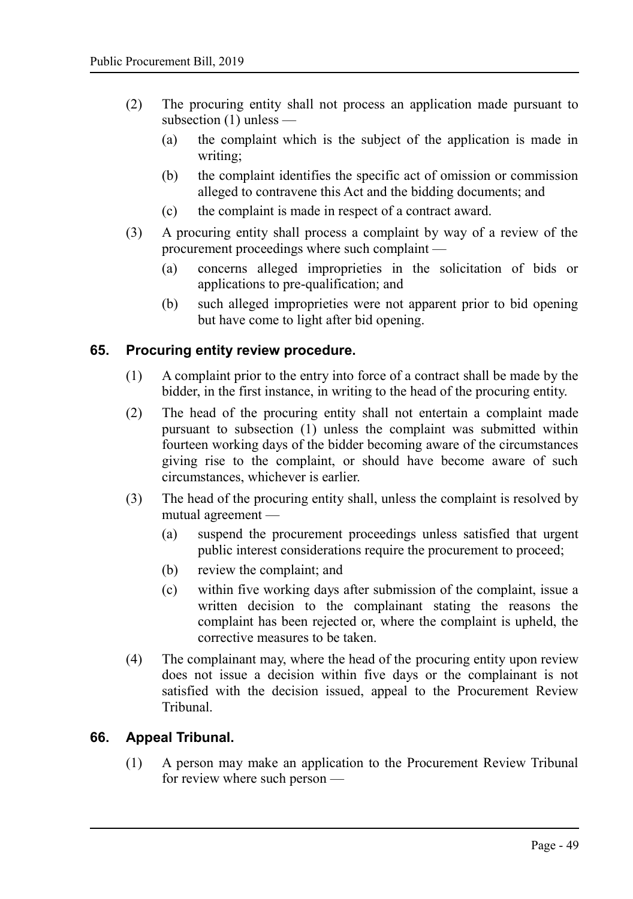- (2) The procuring entity shall not process an application made pursuant to subsection (1) unless —
	- (a) the complaint which is the subject of the application is made in writing;
	- (b) the complaint identifies the specific act of omission or commission alleged to contravene this Act and the bidding documents; and
	- (c) the complaint is made in respect of a contract award.
- (3) A procuring entity shall process a complaint by way of a review of the procurement proceedings where such complaint —
	- (a) concerns alleged improprieties in the solicitation of bids or applications to pre-qualification; and
	- (b) such alleged improprieties were not apparent prior to bid opening but have come to light after bid opening.

#### **65. Procuring entity review procedure.**

- <span id="page-48-1"></span>(1) A complaint prior to the entry into force of a contract shall be made by the bidder, in the first instance, in writing to the head of the procuring entity.
- (2) The head of the procuring entity shall not entertain a complaint made pursuant to subsection (1) unless the complaint was submitted within fourteen working days of the bidder becoming aware of the circumstances giving rise to the complaint, or should have become aware of such circumstances, whichever is earlier.
- (3) The head of the procuring entity shall, unless the complaint is resolved by mutual agreement —
	- (a) suspend the procurement proceedings unless satisfied that urgent public interest considerations require the procurement to proceed;
	- (b) review the complaint; and
	- (c) within five working days after submission of the complaint, issue a written decision to the complainant stating the reasons the complaint has been rejected or, where the complaint is upheld, the corrective measures to be taken.
- (4) The complainant may, where the head of the procuring entity upon review does not issue a decision within five days or the complainant is not satisfied with the decision issued, appeal to the Procurement Review Tribunal.

#### **66. Appeal Tribunal.**

<span id="page-48-0"></span>(1) A person may make an application to the Procurement Review Tribunal for review where such person —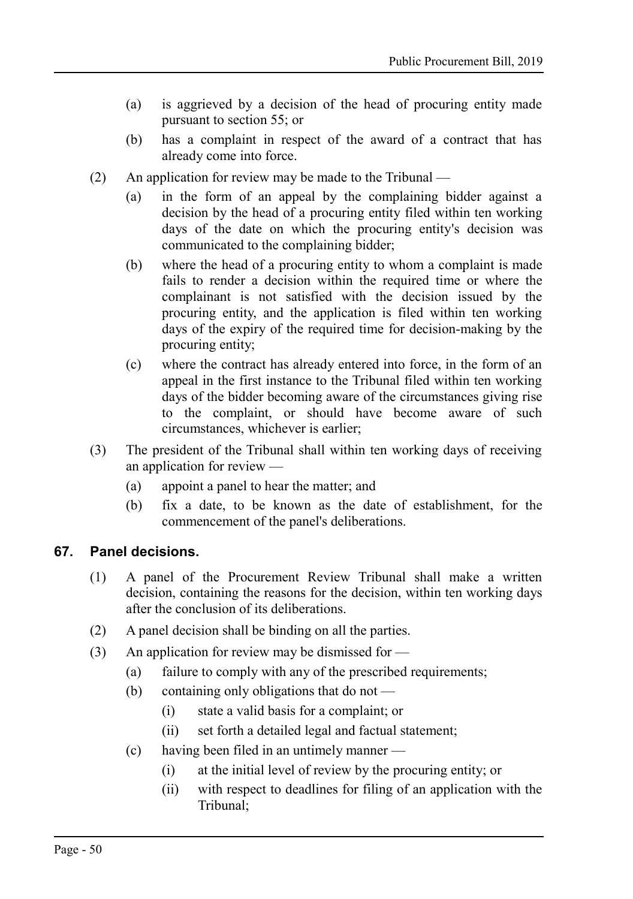- (a) is aggrieved by a decision of the head of procuring entity made pursuant to section 55; or
- (b) has a complaint in respect of the award of a contract that has already come into force.
- (2) An application for review may be made to the Tribunal
	- (a) in the form of an appeal by the complaining bidder against a decision by the head of a procuring entity filed within ten working days of the date on which the procuring entity's decision was communicated to the complaining bidder;
	- (b) where the head of a procuring entity to whom a complaint is made fails to render a decision within the required time or where the complainant is not satisfied with the decision issued by the procuring entity, and the application is filed within ten working days of the expiry of the required time for decision-making by the procuring entity;
	- (c) where the contract has already entered into force, in the form of an appeal in the first instance to the Tribunal filed within ten working days of the bidder becoming aware of the circumstances giving rise to the complaint, or should have become aware of such circumstances, whichever is earlier;
- (3) The president of the Tribunal shall within ten working days of receiving an application for review —
	- (a) appoint a panel to hear the matter; and
	- (b) fix a date, to be known as the date of establishment, for the commencement of the panel's deliberations.

## **67. Panel decisions.**

- <span id="page-49-0"></span>(1) A panel of the Procurement Review Tribunal shall make a written decision, containing the reasons for the decision, within ten working days after the conclusion of its deliberations.
- (2) A panel decision shall be binding on all the parties.
- (3) An application for review may be dismissed for  $\overline{\phantom{a}}$ 
	- (a) failure to comply with any of the prescribed requirements;
	- (b) containing only obligations that do not
		- (i) state a valid basis for a complaint; or
		- (ii) set forth a detailed legal and factual statement;
	- (c) having been filed in an untimely manner
		- (i) at the initial level of review by the procuring entity; or
		- (ii) with respect to deadlines for filing of an application with the Tribunal;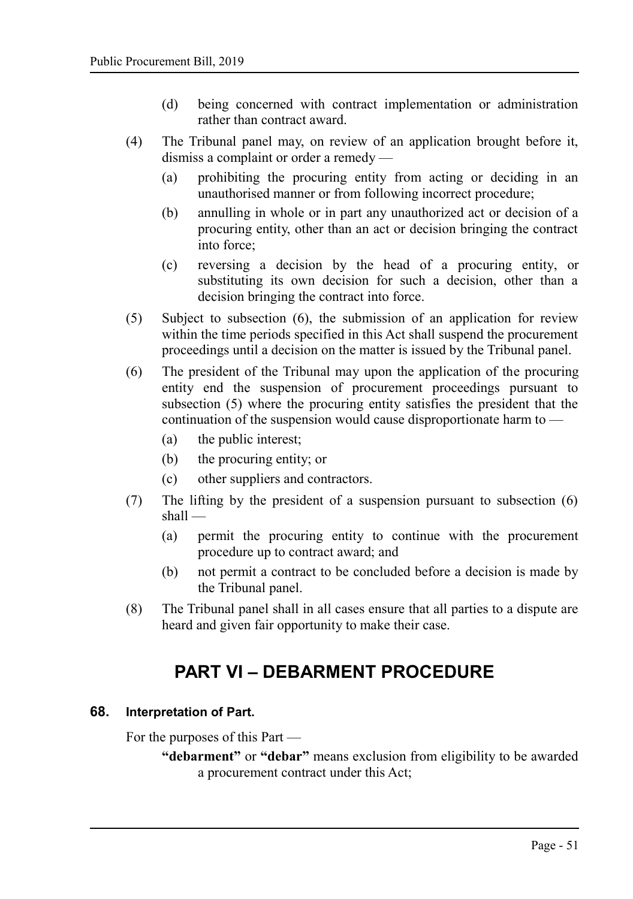- (d) being concerned with contract implementation or administration rather than contract award.
- (4) The Tribunal panel may, on review of an application brought before it, dismiss a complaint or order a remedy —
	- (a) prohibiting the procuring entity from acting or deciding in an unauthorised manner or from following incorrect procedure;
	- (b) annulling in whole or in part any unauthorized act or decision of a procuring entity, other than an act or decision bringing the contract into force;
	- (c) reversing a decision by the head of a procuring entity, or substituting its own decision for such a decision, other than a decision bringing the contract into force.
- (5) Subject to subsection (6), the submission of an application for review within the time periods specified in this Act shall suspend the procurement proceedings until a decision on the matter is issued by the Tribunal panel.
- (6) The president of the Tribunal may upon the application of the procuring entity end the suspension of procurement proceedings pursuant to subsection (5) where the procuring entity satisfies the president that the continuation of the suspension would cause disproportionate harm to —
	- (a) the public interest;
	- (b) the procuring entity; or
	- (c) other suppliers and contractors.
- (7) The lifting by the president of a suspension pursuant to subsection (6) shall —
	- (a) permit the procuring entity to continue with the procurement procedure up to contract award; and
	- (b) not permit a contract to be concluded before a decision is made by the Tribunal panel.
- (8) The Tribunal panel shall in all cases ensure that all parties to a dispute are heard and given fair opportunity to make their case.

## <span id="page-50-1"></span>**PART VI – DEBARMENT PROCEDURE**

#### **68. Interpretation of Part.**

<span id="page-50-0"></span>For the purposes of this Part —

**"debarment"** or **"debar"** means exclusion from eligibility to be awarded a procurement contract under this Act;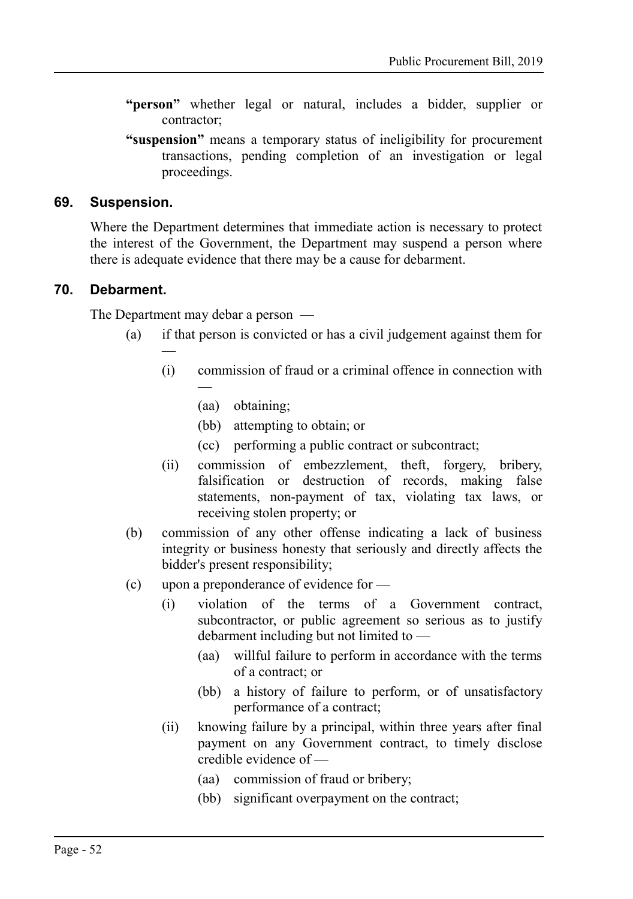- **"person"** whether legal or natural, includes a bidder, supplier or contractor;
- **"suspension"** means a temporary status of ineligibility for procurement transactions, pending completion of an investigation or legal proceedings.

#### **69. Suspension.**

<span id="page-51-1"></span>Where the Department determines that immediate action is necessary to protect the interest of the Government, the Department may suspend a person where there is adequate evidence that there may be a cause for debarment.

#### **70. Debarment.**

<span id="page-51-0"></span>The Department may debar a person —

—

- (a) if that person is convicted or has a civil judgement against them for
	- (i) commission of fraud or a criminal offence in connection with —
		- (aa) obtaining;
		- (bb) attempting to obtain; or
		- (cc) performing a public contract or subcontract;
	- (ii) commission of embezzlement, theft, forgery, bribery, falsification or destruction of records, making false statements, non-payment of tax, violating tax laws, or receiving stolen property; or
- (b) commission of any other offense indicating a lack of business integrity or business honesty that seriously and directly affects the bidder's present responsibility;
- (c) upon a preponderance of evidence for
	- (i) violation of the terms of a Government contract, subcontractor, or public agreement so serious as to justify debarment including but not limited to —
		- (aa) willful failure to perform in accordance with the terms of a contract; or
		- (bb) a history of failure to perform, or of unsatisfactory performance of a contract;
	- (ii) knowing failure by a principal, within three years after final payment on any Government contract, to timely disclose credible evidence of —
		- (aa) commission of fraud or bribery;
		- (bb) significant overpayment on the contract;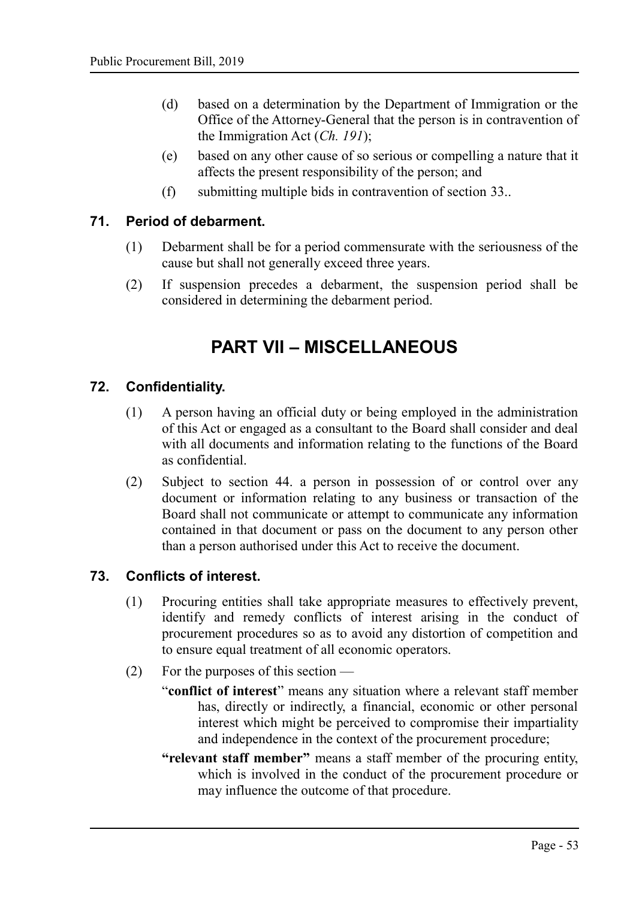- (d) based on a determination by the Department of Immigration or the Office of the Attorney-General that the person is in contravention of the Immigration Act (*Ch. 191*);
- (e) based on any other cause of so serious or compelling a nature that it affects the present responsibility of the person; and
- (f) submitting multiple bids in contravention of section [33..](#page-26-2)

#### **71. Period of debarment.**

- <span id="page-52-3"></span>(1) Debarment shall be for a period commensurate with the seriousness of the cause but shall not generally exceed three years.
- (2) If suspension precedes a debarment, the suspension period shall be considered in determining the debarment period.

## <span id="page-52-2"></span>**PART VII – MISCELLANEOUS**

#### **72. Confidentiality.**

- <span id="page-52-1"></span>(1) A person having an official duty or being employed in the administration of this Act or engaged as a consultant to the Board shall consider and deal with all documents and information relating to the functions of the Board as confidential.
- (2) Subject to section [44.](#page-35-0) a person in possession of or control over any document or information relating to any business or transaction of the Board shall not communicate or attempt to communicate any information contained in that document or pass on the document to any person other than a person authorised under this Act to receive the document.

## **73. Conflicts of interest.**

- <span id="page-52-0"></span>(1) Procuring entities shall take appropriate measures to effectively prevent, identify and remedy conflicts of interest arising in the conduct of procurement procedures so as to avoid any distortion of competition and to ensure equal treatment of all economic operators.
- (2) For the purposes of this section
	- "**conflict of interest**" means any situation where a relevant staff member has, directly or indirectly, a financial, economic or other personal interest which might be perceived to compromise their impartiality and independence in the context of the procurement procedure;
	- **"relevant staff member"** means a staff member of the procuring entity, which is involved in the conduct of the procurement procedure or may influence the outcome of that procedure.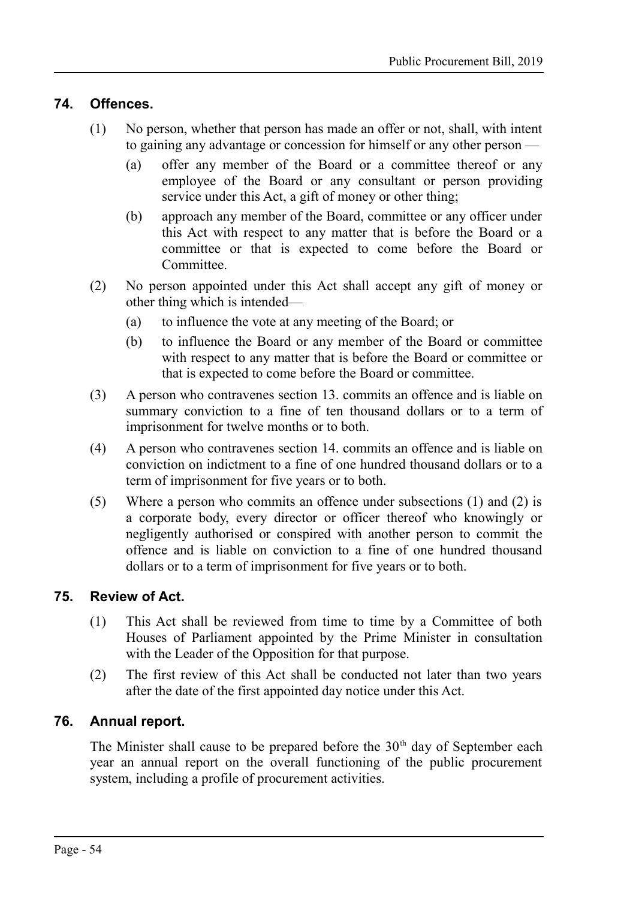#### **74. Offences.**

- <span id="page-53-2"></span>(1) No person, whether that person has made an offer or not, shall, with intent to gaining any advantage or concession for himself or any other person —
	- (a) offer any member of the Board or a committee thereof or any employee of the Board or any consultant or person providing service under this Act, a gift of money or other thing;
	- (b) approach any member of the Board, committee or any officer under this Act with respect to any matter that is before the Board or a committee or that is expected to come before the Board or Committee.
- (2) No person appointed under this Act shall accept any gift of money or other thing which is intended—
	- (a) to influence the vote at any meeting of the Board; or
	- (b) to influence the Board or any member of the Board or committee with respect to any matter that is before the Board or committee or that is expected to come before the Board or committee.
- (3) A person who contravenes section [13.](#page-12-2) commits an offence and is liable on summary conviction to a fine of ten thousand dollars or to a term of imprisonment for twelve months or to both.
- (4) A person who contravenes section [14.](#page-12-0) commits an offence and is liable on conviction on indictment to a fine of one hundred thousand dollars or to a term of imprisonment for five years or to both.
- (5) Where a person who commits an offence under subsections (1) and (2) is a corporate body, every director or officer thereof who knowingly or negligently authorised or conspired with another person to commit the offence and is liable on conviction to a fine of one hundred thousand dollars or to a term of imprisonment for five years or to both.

#### **75. Review of Act.**

- <span id="page-53-1"></span>(1) This Act shall be reviewed from time to time by a Committee of both Houses of Parliament appointed by the Prime Minister in consultation with the Leader of the Opposition for that purpose.
- (2) The first review of this Act shall be conducted not later than two years after the date of the first appointed day notice under this Act.

#### **76. Annual report.**

<span id="page-53-0"></span>The Minister shall cause to be prepared before the  $30<sup>th</sup>$  day of September each year an annual report on the overall functioning of the public procurement system, including a profile of procurement activities.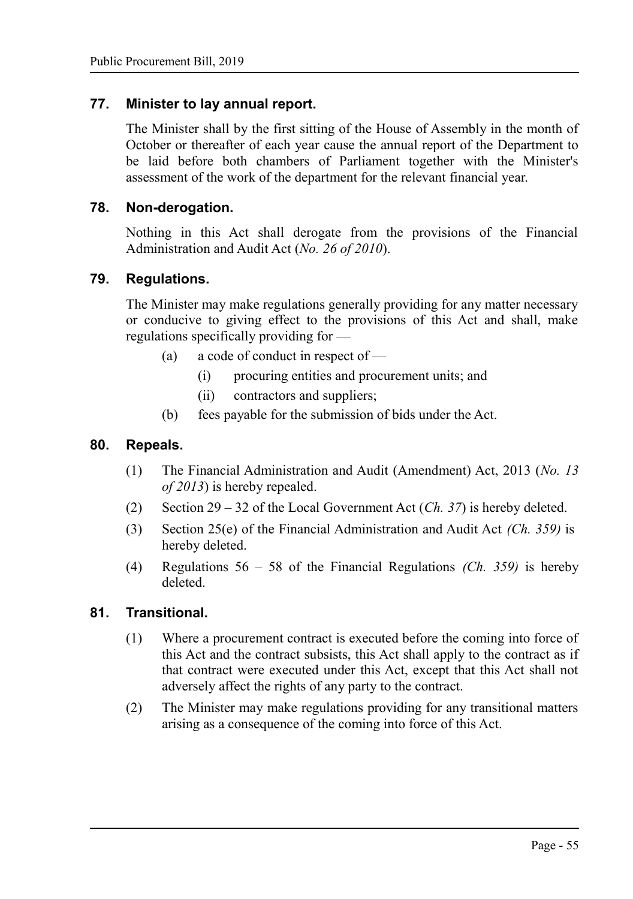#### **77. Minister to lay annual report.**

<span id="page-54-4"></span>The Minister shall by the first sitting of the House of Assembly in the month of October or thereafter of each year cause the annual report of the Department to be laid before both chambers of Parliament together with the Minister's assessment of the work of the department for the relevant financial year.

#### **78. Non-derogation.**

<span id="page-54-3"></span>Nothing in this Act shall derogate from the provisions of the Financial Administration and Audit Act (*No. 26 of 2010*).

#### **79. Regulations.**

<span id="page-54-2"></span>The Minister may make regulations generally providing for any matter necessary or conducive to giving effect to the provisions of this Act and shall, make regulations specifically providing for —

- (a) a code of conduct in respect of
	- (i) procuring entities and procurement units; and
	- (ii) contractors and suppliers;
- (b) fees payable for the submission of bids under the Act.

#### **80. Repeals.**

- <span id="page-54-1"></span>(1) The Financial Administration and Audit (Amendment) Act, 2013 (*No. 13 of 2013*) is hereby repealed.
- (2) Section 29 32 of the Local Government Act (*Ch. 37*) is hereby deleted.
- (3) Section 25(e) of the Financial Administration and Audit Act *(Ch. 359)* is hereby deleted.
- (4) Regulations 56 58 of the Financial Regulations *(Ch. 359)* is hereby deleted.

#### **81. Transitional.**

- <span id="page-54-0"></span>(1) Where a procurement contract is executed before the coming into force of this Act and the contract subsists, this Act shall apply to the contract as if that contract were executed under this Act, except that this Act shall not adversely affect the rights of any party to the contract.
- (2) The Minister may make regulations providing for any transitional matters arising as a consequence of the coming into force of this Act.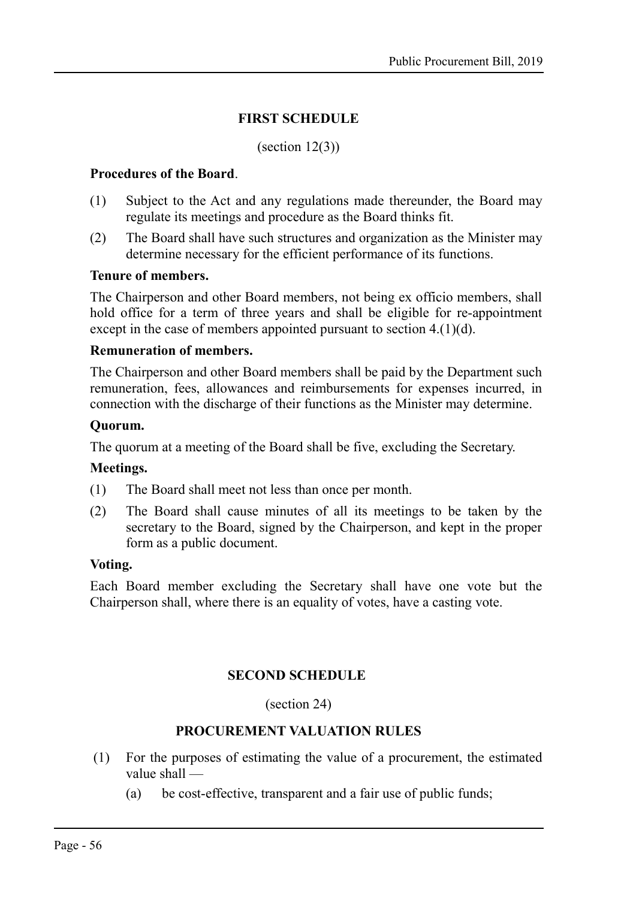#### <span id="page-55-1"></span>**FIRST SCHEDULE**

#### $(section 12(3))$

#### **Procedures of the Board**.

- (1) Subject to the Act and any regulations made thereunder, the Board may regulate its meetings and procedure as the Board thinks fit.
- (2) The Board shall have such structures and organization as the Minister may determine necessary for the efficient performance of its functions.

#### **Tenure of members.**

The Chairperson and other Board members, not being ex officio members, shall hold office for a term of three years and shall be eligible for re-appointment except in the case of members appointed pursuant to section [4.\(](#page-7-0)1)(d).

#### **Remuneration of members.**

The Chairperson and other Board members shall be paid by the Department such remuneration, fees, allowances and reimbursements for expenses incurred, in connection with the discharge of their functions as the Minister may determine.

#### **Quorum.**

The quorum at a meeting of the Board shall be five, excluding the Secretary.

#### **Meetings.**

- (1) The Board shall meet not less than once per month.
- (2) The Board shall cause minutes of all its meetings to be taken by the secretary to the Board, signed by the Chairperson, and kept in the proper form as a public document.

#### **Voting.**

Each Board member excluding the Secretary shall have one vote but the Chairperson shall, where there is an equality of votes, have a casting vote.

#### <span id="page-55-0"></span>**SECOND SCHEDULE**

#### (section 24)

#### **PROCUREMENT VALUATION RULES**

- (1) For the purposes of estimating the value of a procurement, the estimated value shall —
	- (a) be cost-effective, transparent and a fair use of public funds;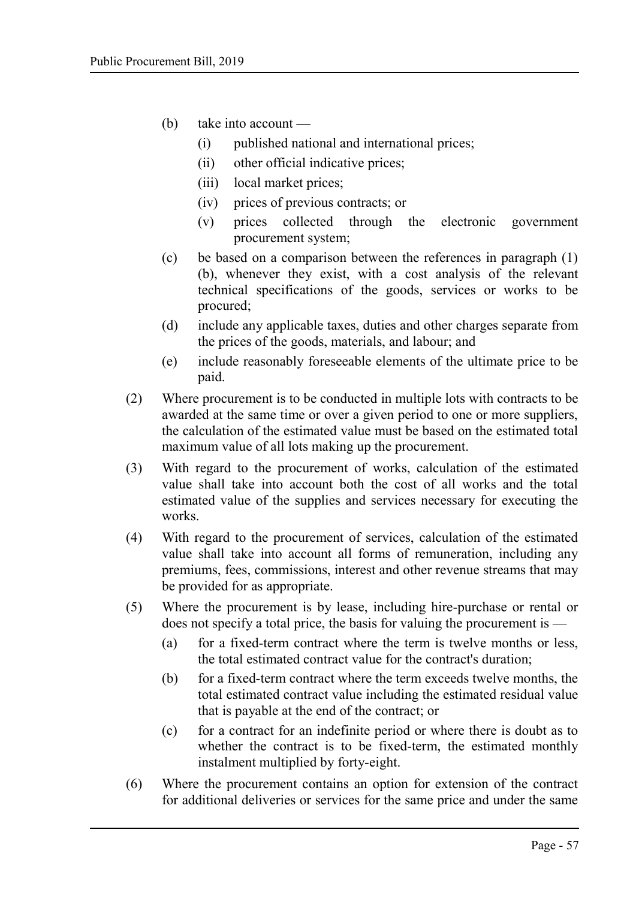- (b) take into account
	- (i) published national and international prices;
	- (ii) other official indicative prices;
	- (iii) local market prices;
	- (iv) prices of previous contracts; or
	- (v) prices collected through the electronic government procurement system;
- (c) be based on a comparison between the references in paragraph (1) (b), whenever they exist, with a cost analysis of the relevant technical specifications of the goods, services or works to be procured;
- (d) include any applicable taxes, duties and other charges separate from the prices of the goods, materials, and labour; and
- (e) include reasonably foreseeable elements of the ultimate price to be paid.
- (2) Where procurement is to be conducted in multiple lots with contracts to be awarded at the same time or over a given period to one or more suppliers, the calculation of the estimated value must be based on the estimated total maximum value of all lots making up the procurement.
- (3) With regard to the procurement of works, calculation of the estimated value shall take into account both the cost of all works and the total estimated value of the supplies and services necessary for executing the works.
- (4) With regard to the procurement of services, calculation of the estimated value shall take into account all forms of remuneration, including any premiums, fees, commissions, interest and other revenue streams that may be provided for as appropriate.
- (5) Where the procurement is by lease, including hire-purchase or rental or does not specify a total price, the basis for valuing the procurement is —
	- (a) for a fixed-term contract where the term is twelve months or less, the total estimated contract value for the contract's duration;
	- (b) for a fixed-term contract where the term exceeds twelve months, the total estimated contract value including the estimated residual value that is payable at the end of the contract; or
	- (c) for a contract for an indefinite period or where there is doubt as to whether the contract is to be fixed-term, the estimated monthly instalment multiplied by forty-eight.
- (6) Where the procurement contains an option for extension of the contract for additional deliveries or services for the same price and under the same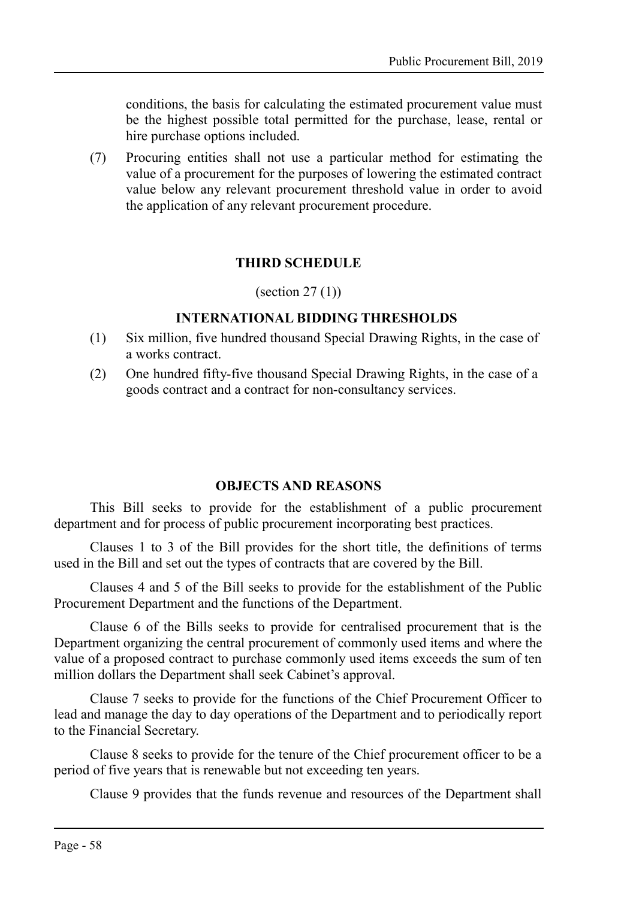conditions, the basis for calculating the estimated procurement value must be the highest possible total permitted for the purchase, lease, rental or hire purchase options included.

(7) Procuring entities shall not use a particular method for estimating the value of a procurement for the purposes of lowering the estimated contract value below any relevant procurement threshold value in order to avoid the application of any relevant procurement procedure.

#### <span id="page-57-1"></span>**THIRD SCHEDULE**

(section  $27(1)$ )

#### **INTERNATIONAL BIDDING THRESHOLDS**

- (1) Six million, five hundred thousand Special Drawing Rights, in the case of a works contract.
- (2) One hundred fifty-five thousand Special Drawing Rights, in the case of a goods contract and a contract for non-consultancy services.

#### <span id="page-57-0"></span>**OBJECTS AND REASONS**

This Bill seeks to provide for the establishment of a public procurement department and for process of public procurement incorporating best practices.

Clauses 1 to 3 of the Bill provides for the short title, the definitions of terms used in the Bill and set out the types of contracts that are covered by the Bill.

Clauses 4 and 5 of the Bill seeks to provide for the establishment of the Public Procurement Department and the functions of the Department.

Clause 6 of the Bills seeks to provide for centralised procurement that is the Department organizing the central procurement of commonly used items and where the value of a proposed contract to purchase commonly used items exceeds the sum of ten million dollars the Department shall seek Cabinet's approval.

Clause 7 seeks to provide for the functions of the Chief Procurement Officer to lead and manage the day to day operations of the Department and to periodically report to the Financial Secretary.

Clause 8 seeks to provide for the tenure of the Chief procurement officer to be a period of five years that is renewable but not exceeding ten years.

Clause 9 provides that the funds revenue and resources of the Department shall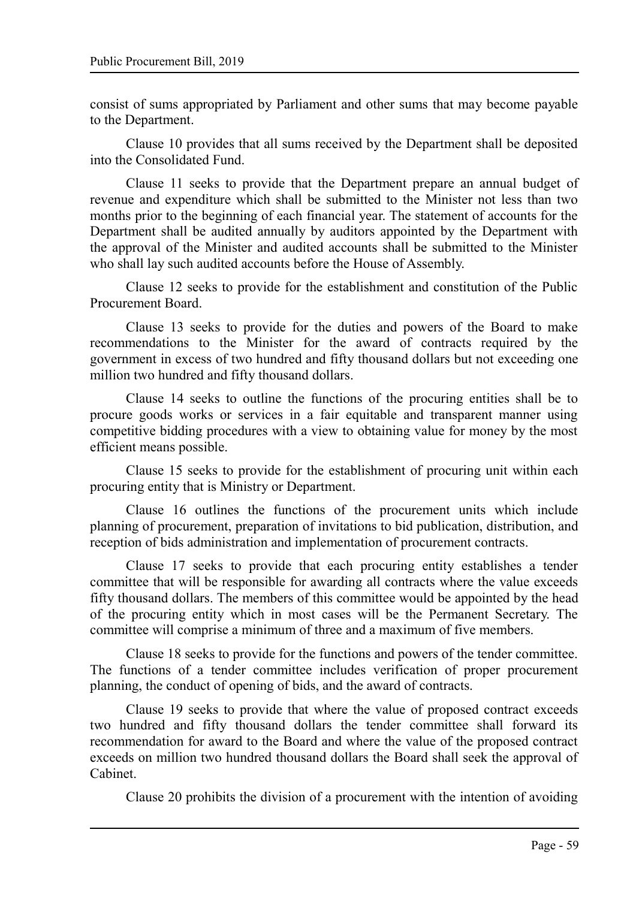consist of sums appropriated by Parliament and other sums that may become payable to the Department.

Clause 10 provides that all sums received by the Department shall be deposited into the Consolidated Fund.

Clause 11 seeks to provide that the Department prepare an annual budget of revenue and expenditure which shall be submitted to the Minister not less than two months prior to the beginning of each financial year. The statement of accounts for the Department shall be audited annually by auditors appointed by the Department with the approval of the Minister and audited accounts shall be submitted to the Minister who shall lay such audited accounts before the House of Assembly.

Clause 12 seeks to provide for the establishment and constitution of the Public Procurement Board.

Clause 13 seeks to provide for the duties and powers of the Board to make recommendations to the Minister for the award of contracts required by the government in excess of two hundred and fifty thousand dollars but not exceeding one million two hundred and fifty thousand dollars.

Clause 14 seeks to outline the functions of the procuring entities shall be to procure goods works or services in a fair equitable and transparent manner using competitive bidding procedures with a view to obtaining value for money by the most efficient means possible.

Clause 15 seeks to provide for the establishment of procuring unit within each procuring entity that is Ministry or Department.

Clause 16 outlines the functions of the procurement units which include planning of procurement, preparation of invitations to bid publication, distribution, and reception of bids administration and implementation of procurement contracts.

Clause 17 seeks to provide that each procuring entity establishes a tender committee that will be responsible for awarding all contracts where the value exceeds fifty thousand dollars. The members of this committee would be appointed by the head of the procuring entity which in most cases will be the Permanent Secretary. The committee will comprise a minimum of three and a maximum of five members.

Clause 18 seeks to provide for the functions and powers of the tender committee. The functions of a tender committee includes verification of proper procurement planning, the conduct of opening of bids, and the award of contracts.

Clause 19 seeks to provide that where the value of proposed contract exceeds two hundred and fifty thousand dollars the tender committee shall forward its recommendation for award to the Board and where the value of the proposed contract exceeds on million two hundred thousand dollars the Board shall seek the approval of Cabinet.

Clause 20 prohibits the division of a procurement with the intention of avoiding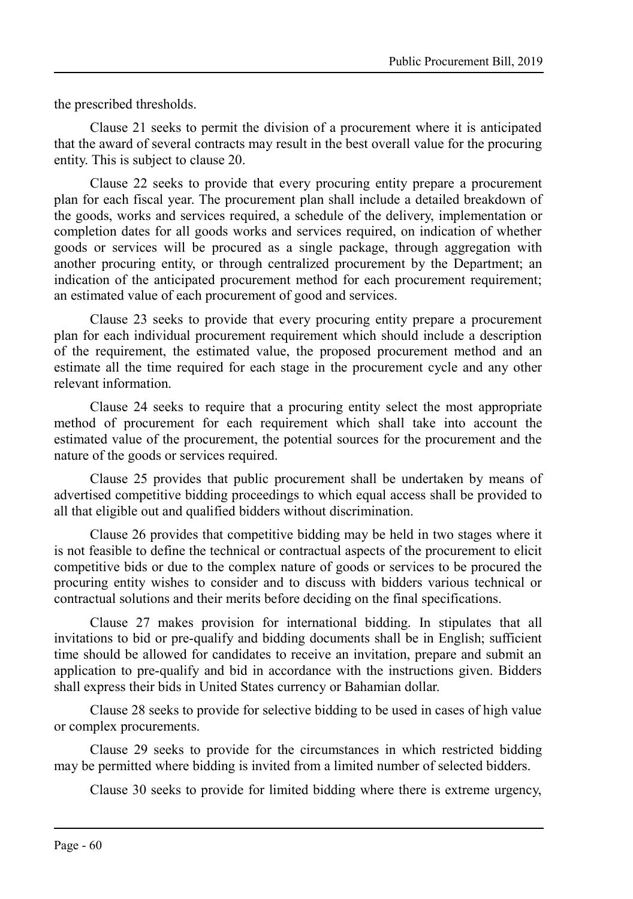the prescribed thresholds.

Clause 21 seeks to permit the division of a procurement where it is anticipated that the award of several contracts may result in the best overall value for the procuring entity. This is subject to clause 20.

Clause 22 seeks to provide that every procuring entity prepare a procurement plan for each fiscal year. The procurement plan shall include a detailed breakdown of the goods, works and services required, a schedule of the delivery, implementation or completion dates for all goods works and services required, on indication of whether goods or services will be procured as a single package, through aggregation with another procuring entity, or through centralized procurement by the Department; an indication of the anticipated procurement method for each procurement requirement; an estimated value of each procurement of good and services.

Clause 23 seeks to provide that every procuring entity prepare a procurement plan for each individual procurement requirement which should include a description of the requirement, the estimated value, the proposed procurement method and an estimate all the time required for each stage in the procurement cycle and any other relevant information.

Clause 24 seeks to require that a procuring entity select the most appropriate method of procurement for each requirement which shall take into account the estimated value of the procurement, the potential sources for the procurement and the nature of the goods or services required.

Clause 25 provides that public procurement shall be undertaken by means of advertised competitive bidding proceedings to which equal access shall be provided to all that eligible out and qualified bidders without discrimination.

Clause 26 provides that competitive bidding may be held in two stages where it is not feasible to define the technical or contractual aspects of the procurement to elicit competitive bids or due to the complex nature of goods or services to be procured the procuring entity wishes to consider and to discuss with bidders various technical or contractual solutions and their merits before deciding on the final specifications.

Clause 27 makes provision for international bidding. In stipulates that all invitations to bid or pre-qualify and bidding documents shall be in English; sufficient time should be allowed for candidates to receive an invitation, prepare and submit an application to pre-qualify and bid in accordance with the instructions given. Bidders shall express their bids in United States currency or Bahamian dollar.

Clause 28 seeks to provide for selective bidding to be used in cases of high value or complex procurements.

Clause 29 seeks to provide for the circumstances in which restricted bidding may be permitted where bidding is invited from a limited number of selected bidders.

Clause 30 seeks to provide for limited bidding where there is extreme urgency,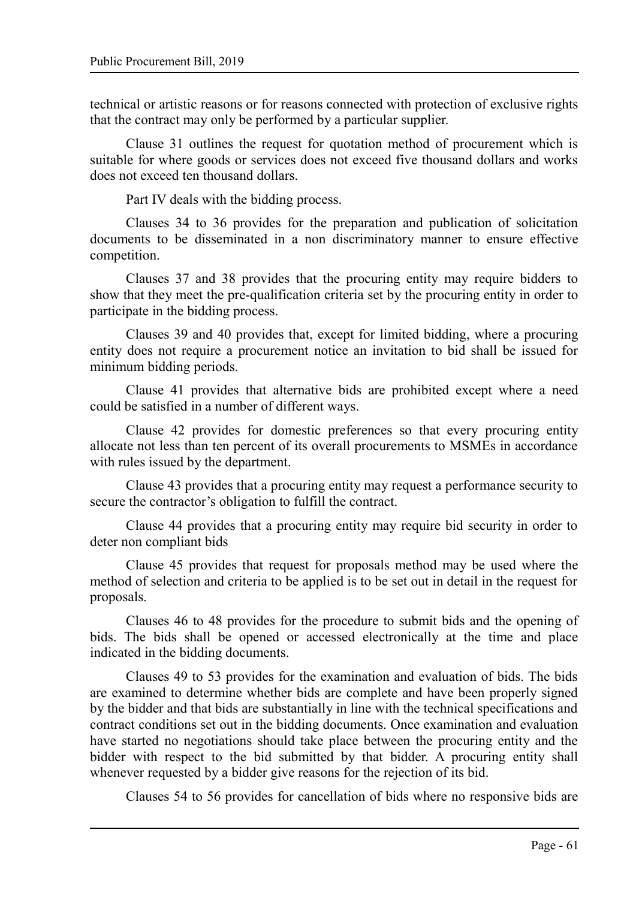technical or artistic reasons or for reasons connected with protection of exclusive rights that the contract may only be performed by a particular supplier.

Clause 31 outlines the request for quotation method of procurement which is suitable for where goods or services does not exceed five thousand dollars and works does not exceed ten thousand dollars.

Part IV deals with the bidding process.

Clauses 34 to 36 provides for the preparation and publication of solicitation documents to be disseminated in a non discriminatory manner to ensure effective competition.

Clauses 37 and 38 provides that the procuring entity may require bidders to show that they meet the pre-qualification criteria set by the procuring entity in order to participate in the bidding process.

Clauses 39 and 40 provides that, except for limited bidding, where a procuring entity does not require a procurement notice an invitation to bid shall be issued for minimum bidding periods.

Clause 41 provides that alternative bids are prohibited except where a need could be satisfied in a number of different ways.

Clause 42 provides for domestic preferences so that every procuring entity allocate not less than ten percent of its overall procurements to MSMEs in accordance with rules issued by the department.

Clause 43 provides that a procuring entity may request a performance security to secure the contractor's obligation to fulfill the contract.

Clause 44 provides that a procuring entity may require bid security in order to deter non compliant bids

Clause 45 provides that request for proposals method may be used where the method of selection and criteria to be applied is to be set out in detail in the request for proposals.

Clauses 46 to 48 provides for the procedure to submit bids and the opening of bids. The bids shall be opened or accessed electronically at the time and place indicated in the bidding documents.

Clauses 49 to 53 provides for the examination and evaluation of bids. The bids are examined to determine whether bids are complete and have been properly signed by the bidder and that bids are substantially in line with the technical specifications and contract conditions set out in the bidding documents. Once examination and evaluation have started no negotiations should take place between the procuring entity and the bidder with respect to the bid submitted by that bidder. A procuring entity shall whenever requested by a bidder give reasons for the rejection of its bid.

Clauses 54 to 56 provides for cancellation of bids where no responsive bids are